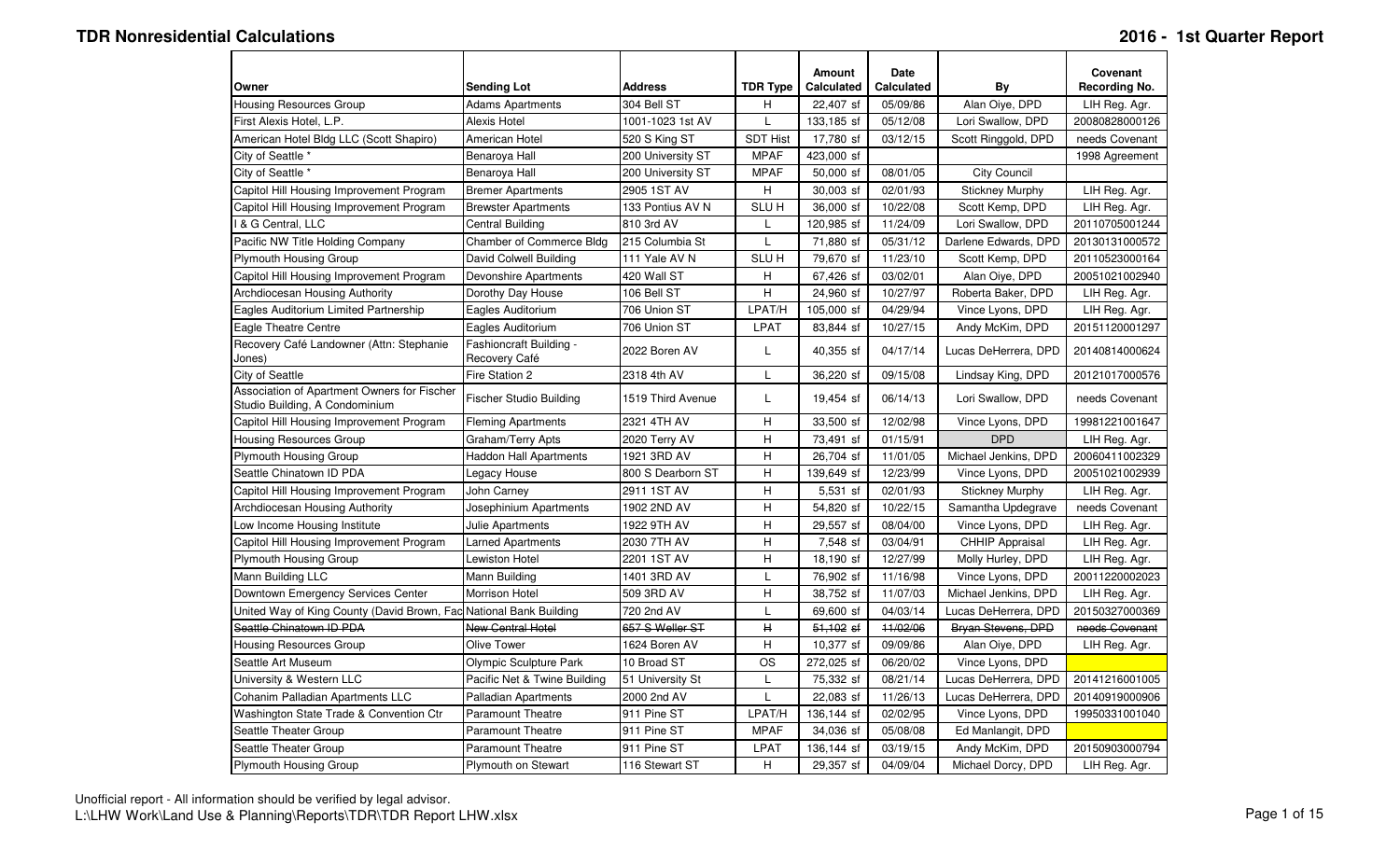| Owner                                                                         | <b>Sending Lot</b>                       | <b>Address</b>    | <b>TDR Type</b>  | <b>Amount</b><br><b>Calculated</b> | <b>Date</b><br><b>Calculated</b> | By                     | Covenant<br>Recording No. |
|-------------------------------------------------------------------------------|------------------------------------------|-------------------|------------------|------------------------------------|----------------------------------|------------------------|---------------------------|
| <b>Housing Resources Group</b>                                                | <b>Adams Apartments</b>                  | 304 Bell ST       | H                | 22,407 sf                          | 05/09/86                         | Alan Oiye, DPD         | LIH Reg. Agr.             |
| First Alexis Hotel, L.P.                                                      | <b>Alexis Hotel</b>                      | 1001-1023 1st AV  | L                | 133,185 sf                         | 05/12/08                         | Lori Swallow, DPD      | 20080828000126            |
| American Hotel Bldg LLC (Scott Shapiro)                                       | American Hotel                           | 520 S King ST     | <b>SDT Hist</b>  | 17,780 sf                          | 03/12/15                         | Scott Ringgold, DPD    | needs Covenant            |
| City of Seattle *                                                             | Benaroya Hall                            | 200 University ST | <b>MPAF</b>      | 423,000 sf                         |                                  |                        | 1998 Agreement            |
| City of Seattle *                                                             | Benaroya Hall                            | 200 University ST | <b>MPAF</b>      | 50,000 sf                          | 08/01/05                         | <b>City Council</b>    |                           |
| Capitol Hill Housing Improvement Program                                      | <b>Bremer Apartments</b>                 | 2905 1ST AV       | H.               | 30,003 sf                          | 02/01/93                         | <b>Stickney Murphy</b> | LIH Reg. Agr.             |
| Capitol Hill Housing Improvement Program                                      | <b>Brewster Apartments</b>               | 133 Pontius AV N  | SLU <sub>H</sub> | 36,000 sf                          | 10/22/08                         | Scott Kemp, DPD        | LIH Reg. Agr.             |
| I & G Central, LLC                                                            | Central Building                         | 810 3rd AV        | L                | 120,985 sf                         | 11/24/09                         | Lori Swallow, DPD      | 20110705001244            |
| Pacific NW Title Holding Company                                              | Chamber of Commerce Bldg                 | 215 Columbia St   | L                | 71,880 sf                          | 05/31/12                         | Darlene Edwards, DPD   | 20130131000572            |
| <b>Plymouth Housing Group</b>                                                 | David Colwell Building                   | 111 Yale AV N     | <b>SLUH</b>      | 79,670 sf                          | 11/23/10                         | Scott Kemp, DPD        | 20110523000164            |
| Capitol Hill Housing Improvement Program                                      | Devonshire Apartments                    | 420 Wall ST       | H                | 67,426 sf                          | 03/02/01                         | Alan Oiye, DPD         | 20051021002940            |
| Archdiocesan Housing Authority                                                | Dorothy Day House                        | 106 Bell ST       | H.               | 24,960 sf                          | 10/27/97                         | Roberta Baker, DPD     | LIH Reg. Agr.             |
| Eagles Auditorium Limited Partnership                                         | Eagles Auditorium                        | 706 Union ST      | LPAT/H           | 105,000 sf                         | 04/29/94                         | Vince Lyons, DPD       | LIH Reg. Agr.             |
| Eagle Theatre Centre                                                          | Eagles Auditorium                        | 706 Union ST      | <b>LPAT</b>      | 83,844 sf                          | 10/27/15                         | Andy McKim, DPD        | 20151120001297            |
| Recovery Café Landowner (Attn: Stephanie<br>Jones)                            | Fashioncraft Building -<br>Recovery Café | 2022 Boren AV     | L                | 40,355 sf                          | 04/17/14                         | Lucas DeHerrera, DPD   | 20140814000624            |
| City of Seattle                                                               | Fire Station 2                           | 2318 4th AV       | L                | 36,220 sf                          | 09/15/08                         | Lindsay King, DPD      | 20121017000576            |
| Association of Apartment Owners for Fischer<br>Studio Building, A Condominium | Fischer Studio Building                  | 1519 Third Avenue | L                | 19,454 sf                          | 06/14/13                         | Lori Swallow, DPD      | needs Covenant            |
| Capitol Hill Housing Improvement Program                                      | <b>Fleming Apartments</b>                | 2321 4TH AV       | H                | 33,500 sf                          | 12/02/98                         | Vince Lyons, DPD       | 19981221001647            |
| <b>Housing Resources Group</b>                                                | Graham/Terry Apts                        | 2020 Terry AV     | н                | 73,491 sf                          | 01/15/91                         | <b>DPD</b>             | LIH Reg. Agr.             |
| <b>Plymouth Housing Group</b>                                                 | <b>Haddon Hall Apartments</b>            | 1921 3RD AV       | H                | 26,704 sf                          | 11/01/05                         | Michael Jenkins, DPD   | 20060411002329            |
| Seattle Chinatown ID PDA                                                      | Legacy House                             | 800 S Dearborn ST | н                | 139,649 sf                         | 12/23/99                         | Vince Lyons, DPD       | 20051021002939            |
| Capitol Hill Housing Improvement Program                                      | John Carney                              | 2911 1ST AV       | H.               | 5,531 sf                           | 02/01/93                         | <b>Stickney Murphy</b> | LIH Reg. Agr.             |
| Archdiocesan Housing Authority                                                | Josephinium Apartments                   | 1902 2ND AV       | н                | 54,820 sf                          | 10/22/15                         | Samantha Updegrave     | needs Covenant            |
| Low Income Housing Institute                                                  | Julie Apartments                         | 1922 9TH AV       | H                | 29,557 sf                          | 08/04/00                         | Vince Lyons, DPD       | LIH Reg. Agr.             |
| Capitol Hill Housing Improvement Program                                      | <b>Larned Apartments</b>                 | 2030 7TH AV       | H.               | 7,548 sf                           | 03/04/91                         | <b>CHHIP Appraisal</b> | LIH Reg. Agr.             |
| <b>Plymouth Housing Group</b>                                                 | Lewiston Hotel                           | 2201 1ST AV       | $\sf H$          | 18,190 sf                          | 12/27/99                         | Molly Hurley, DPD      | LIH Reg. Agr.             |
| Mann Building LLC                                                             | Mann Building                            | 1401 3RD AV       | L                | 76,902 sf                          | 11/16/98                         | Vince Lyons, DPD       | 20011220002023            |
| Downtown Emergency Services Center                                            | Morrison Hotel                           | 509 3RD AV        | H                | 38,752 sf                          | 11/07/03                         | Michael Jenkins, DPD   | LIH Reg. Agr.             |
| United Way of King County (David Brown, Fac National Bank Building            |                                          | 720 2nd AV        | L                | 69,600 sf                          | 04/03/14                         | Lucas DeHerrera, DPD   | 20150327000369            |
| Seattle Chinatown ID PDA                                                      | <b>New Central Hotel</b>                 | 657 S Weller ST   | $\mathbf H$      | $51,102$ sf                        | 11/02/06                         | Bryan Stevens, DPD     | needs Covenant            |
| <b>Housing Resources Group</b>                                                | Olive Tower                              | 1624 Boren AV     | H                | 10,377 sf                          | 09/09/86                         | Alan Oiye, DPD         | LIH Reg. Agr.             |
| Seattle Art Museum                                                            | Olympic Sculpture Park                   | 10 Broad ST       | <b>OS</b>        | 272,025 sf                         | 06/20/02                         | Vince Lyons, DPD       |                           |
| University & Western LLC                                                      | Pacific Net & Twine Building             | 51 University St  | L                | 75,332 sf                          | 08/21/14                         | Lucas DeHerrera, DPD   | 20141216001005            |
| Cohanim Palladian Apartments LLC                                              | Palladian Apartments                     | 2000 2nd AV       | L                | 22,083 sf                          | 11/26/13                         | Lucas DeHerrera, DPD   | 20140919000906            |
| Washington State Trade & Convention Ctr                                       | <b>Paramount Theatre</b>                 | 911 Pine ST       | LPAT/H           | 136,144 sf                         | 02/02/95                         | Vince Lyons, DPD       | 19950331001040            |
| Seattle Theater Group                                                         | <b>Paramount Theatre</b>                 | 911 Pine ST       | <b>MPAF</b>      | 34,036 sf                          | 05/08/08                         | Ed Manlangit, DPD      |                           |
| Seattle Theater Group                                                         | <b>Paramount Theatre</b>                 | 911 Pine ST       | <b>LPAT</b>      | 136,144 sf                         | 03/19/15                         | Andy McKim, DPD        | 20150903000794            |
| Plymouth Housing Group                                                        | <b>Plymouth on Stewart</b>               | 116 Stewart ST    | H                | 29,357 sf                          | 04/09/04                         | Michael Dorcy, DPD     | LIH Reg. Agr.             |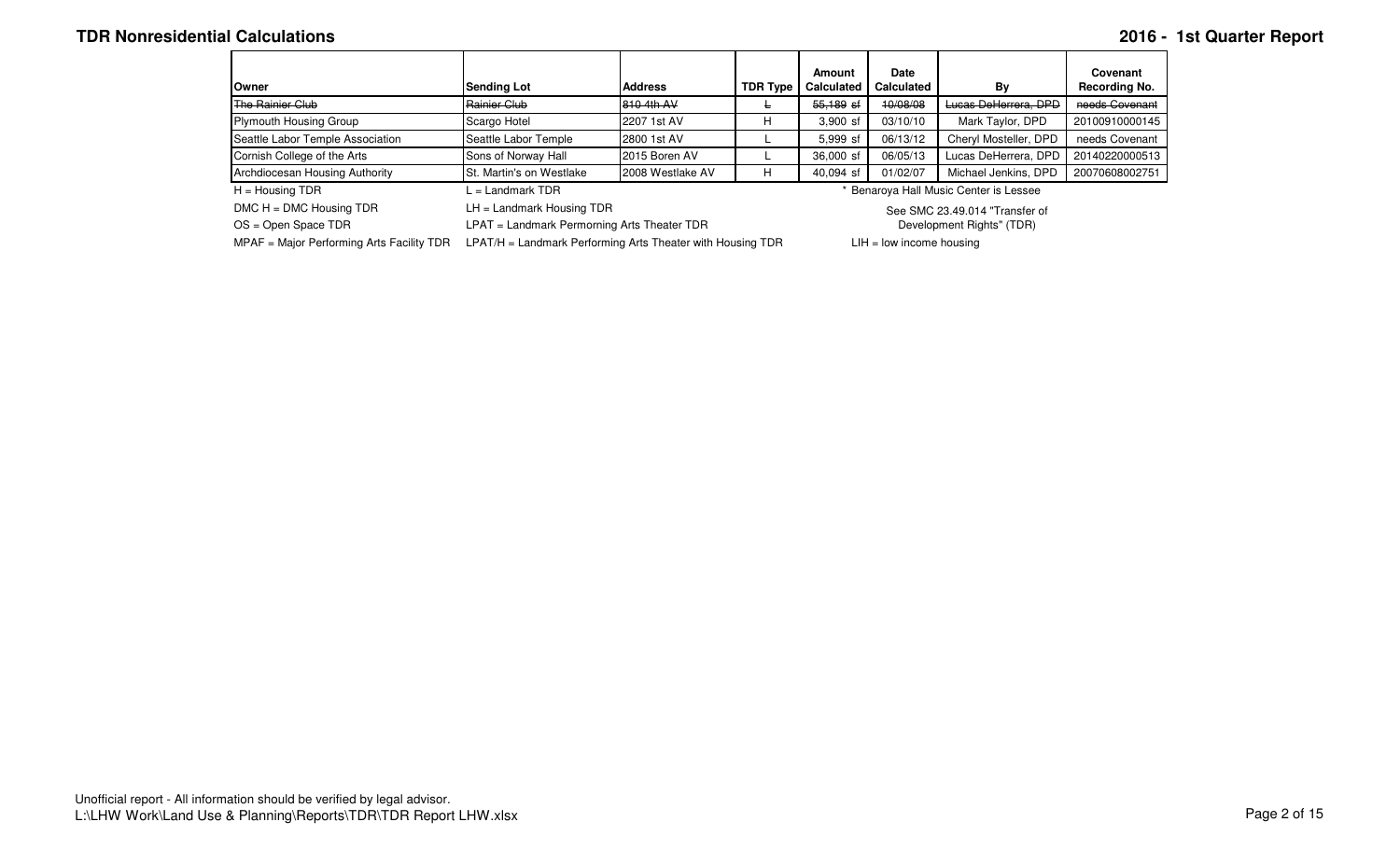### **TDR Nonresidential Calculations 2016 - 1st Quarter Report**

|                                  |                                 |                  |                 | Amount            | Date              |                                        | Covenant       |
|----------------------------------|---------------------------------|------------------|-----------------|-------------------|-------------------|----------------------------------------|----------------|
| Owner                            | <b>Sending Lot</b>              | <b>Address</b>   | <b>TDR Type</b> | <b>Calculated</b> | <b>Calculated</b> | Bv                                     | Recording No.  |
| The Rainier Club                 | Rainier Club                    | 810 4th AV       |                 | $55.189$ sf       | 10/08/08          | Lucas DeHerrera, DPD                   | needs Covenant |
| Plymouth Housing Group           | Scargo Hotel                    | 2207 1st AV      |                 | $3.900$ sf        | 03/10/10          | Mark Taylor, DPD                       | 20100910000145 |
| Seattle Labor Temple Association | Seattle Labor Temple            | 2800 1st AV      |                 | 5.999 sf          | 06/13/12          | Cheryl Mosteller, DPD                  | needs Covenant |
| Cornish College of the Arts      | Sons of Norway Hall             | 2015 Boren AV    |                 | 36,000 sf         | 06/05/13          | Lucas DeHerrera, DPD                   | 20140220000513 |
| Archdiocesan Housing Authority   | <b>St. Martin's on Westlake</b> | 2008 Westlake AV | Н               | 40.094 sf         | 01/02/07          | Michael Jenkins, DPD                   | 20070608002751 |
| $H =$ Housing TDR                |                                 |                  |                 |                   |                   | * Benaroya Hall Music Center is Lessee |                |

DMC H = DMC Housing TDR LH = Landmark Housing TDR

See SMC 23.49.014 "Transfer of

 OS = Open Space TDR LPAT = Landmark Permorning Arts Theater TDRMPAF = Major Performing Arts Facility TDR LPAT/H = Landmark Performing Arts Theater with Housing TDR LIH = low income housing

Development Rights" (TDR)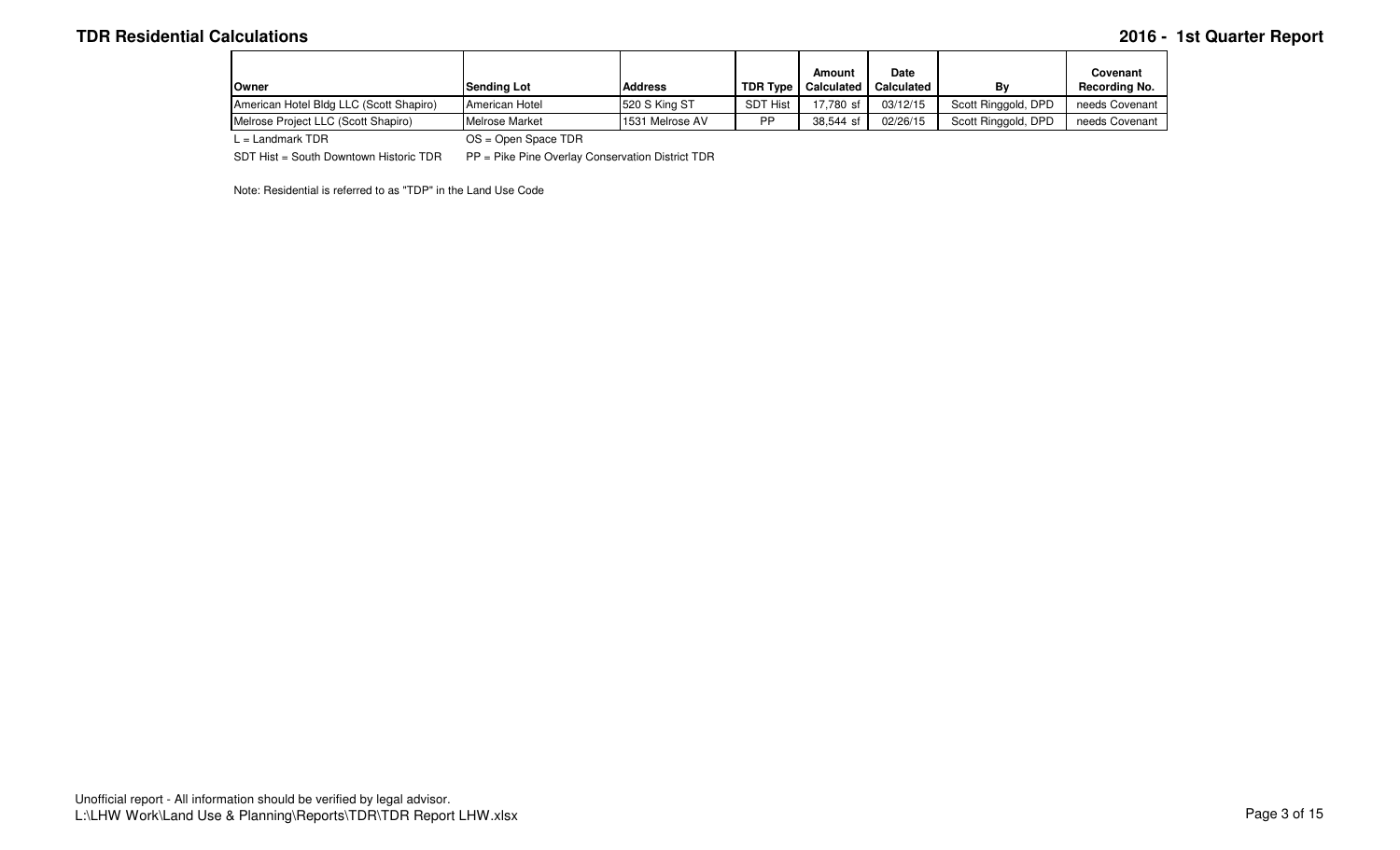# **TDR Residential Calculations 2016 - 1st Quarter Report**

| lOwner                                  | <b>Sendina Lot</b> | <b>Address</b>  | <b>TDR Type</b> | Amount<br><b>Calculated</b> | <b>Date</b><br><b>Calculated</b> | Bv                  | Covenant<br>Recordina No. |
|-----------------------------------------|--------------------|-----------------|-----------------|-----------------------------|----------------------------------|---------------------|---------------------------|
| American Hotel Bldg LLC (Scott Shapiro) | American Hotel     | 520 S King ST   | <b>SDT Hist</b> | 17.780 sf                   | 03/12/15                         | Scott Ringgold, DPD | needs Covenant            |
| Melrose Project LLC (Scott Shapiro)     | Melrose Market     | 1531 Melrose AV | <b>DD</b>       | 38.544 sf                   | 02/26/15                         | Scott Ringgold, DPD | needs Covenant            |
| ___                                     | $- - -$<br>$   -$  |                 |                 |                             |                                  |                     |                           |

L = Landmark TDR OS = Open Space TDR

SDT Hist = South Downtown Historic TDR PP = Pike Pine Overlay Conservation District TDR

Note: Residential is referred to as "TDP" in the Land Use Code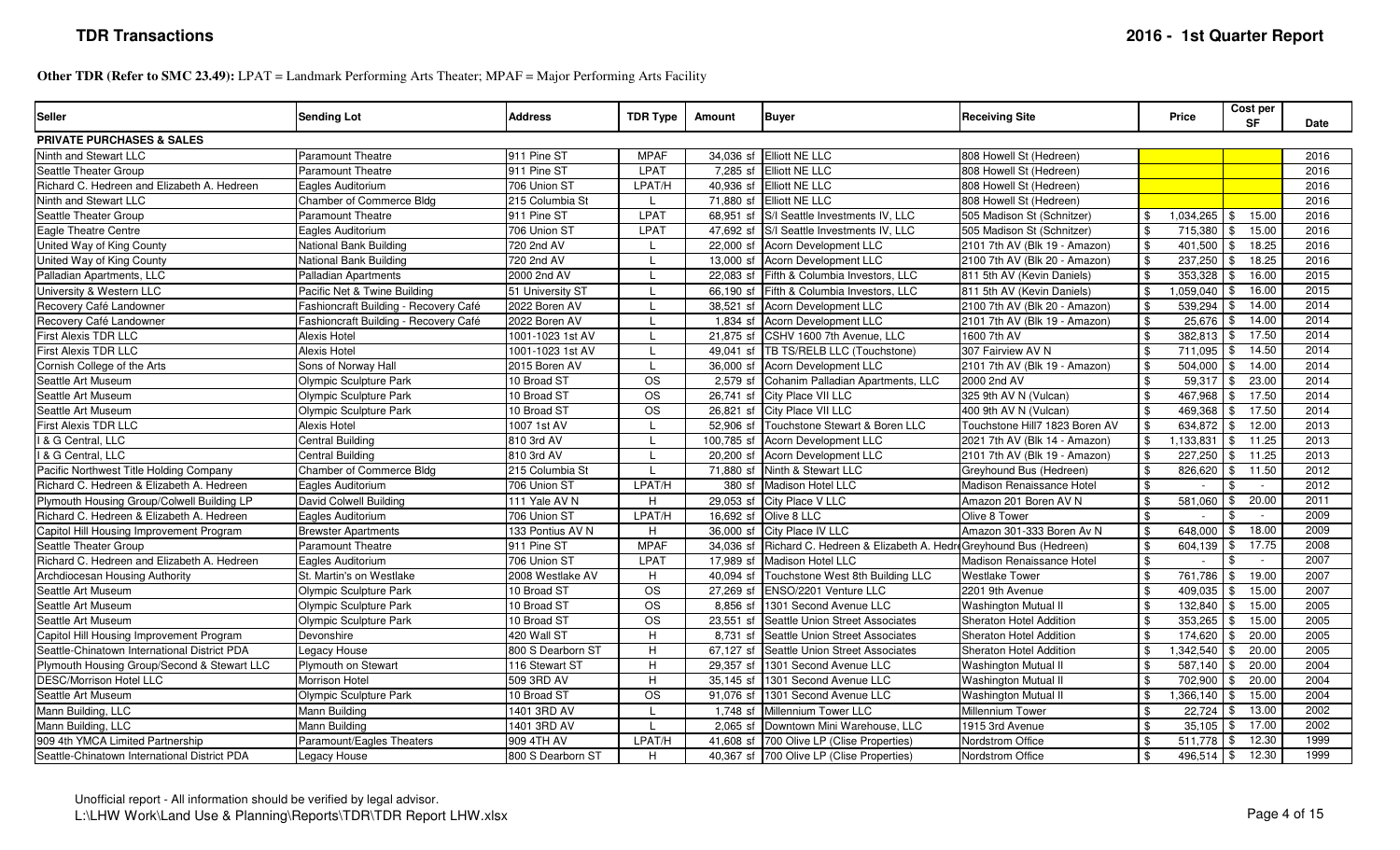**Other TDR (Refer to SMC 23.49):** LPAT = Landmark Performing Arts Theater; MPAF = Major Performing Arts Facility

| <b>Seller</b>                                | <b>Sending Lot</b>                    | <b>Address</b>    | <b>TDR Type</b>        | Amount     | <b>Buyer</b>                                                              | <b>Receiving Site</b>          | Price                              | Cost per<br><b>SF</b>   | Date |
|----------------------------------------------|---------------------------------------|-------------------|------------------------|------------|---------------------------------------------------------------------------|--------------------------------|------------------------------------|-------------------------|------|
| <b>PRIVATE PURCHASES &amp; SALES</b>         |                                       |                   |                        |            |                                                                           |                                |                                    |                         |      |
| Ninth and Stewart LLC                        | <b>Paramount Theatre</b>              | 911 Pine ST       | <b>MPAF</b>            |            | 34,036 sf Elliott NE LLC                                                  | 808 Howell St (Hedreen         |                                    |                         | 2016 |
| Seattle Theater Group                        | <b>Paramount Theatre</b>              | 911 Pine ST       | LPAT                   |            | 7,285 sf Elliott NE LLC                                                   | 808 Howell St (Hedreen)        |                                    |                         | 2016 |
| Richard C. Hedreen and Elizabeth A. Hedreen  | Eagles Auditorium                     | 706 Union ST      | LPAT/H                 |            | 40,936 sf Elliott NE LLC                                                  | 808 Howell St (Hedreen)        |                                    |                         | 2016 |
| Ninth and Stewart LLC                        | Chamber of Commerce Bldg              | 215 Columbia St   |                        |            | 71,880 sf Elliott NE LLC                                                  | 808 Howell St (Hedreen)        |                                    |                         | 2016 |
| Seattle Theater Group                        | <b>Paramount Theatre</b>              | 911 Pine ST       | <b>LPAT</b>            |            | 68,951 sf S/I Seattle Investments IV, LLC                                 | 505 Madison St (Schnitzer)     | ,034,265                           | 15.00                   | 2016 |
| Eagle Theatre Centre                         | Eagles Auditorium                     | 706 Union ST      | LPAT                   |            | 47,692 sf S/I Seattle Investments IV, LLC                                 | 505 Madison St (Schnitzer)     | 715,380<br>\$                      | 15.00                   | 2016 |
| United Way of King County                    | National Bank Building                | 720 2nd AV        |                        |            | 22,000 sf Acorn Development LLC                                           | 2101 7th AV (Blk 19 - Amazon)  | $\mathbf{\$}$<br>401,500           | 18.25<br>\$.            | 2016 |
| United Way of King County                    | National Bank Building                | 720 2nd AV        |                        |            | 13,000 sf Acorn Development LLC                                           | 2100 7th AV (Blk 20 - Amazon)  | \$<br>237,250                      | 18.25                   | 2016 |
| Palladian Apartments, LLC                    | Palladian Apartments                  | 2000 2nd AV       |                        |            | 22,083 sf Fifth & Columbia Investors, LLC                                 | 811 5th AV (Kevin Daniels)     | 353,328<br>\$                      | 16.00                   | 2015 |
| University & Western LLC                     | Pacific Net & Twine Building          | 51 University ST  |                        |            | 66,190 sf Fifth & Columbia Investors, LLC                                 | 811 5th AV (Kevin Daniels)     | 1,059,040<br>\$                    | 16.00                   | 2015 |
| Recovery Café Landowner                      | Fashioncraft Building - Recovery Café | 2022 Boren AV     |                        |            | 38,521 sf Acorn Development LLC                                           | 2100 7th AV (Blk 20 - Amazon)  | 539,294<br>\$                      | 14.00<br>\$.            | 2014 |
| Recovery Café Landowner                      | Fashioncraft Building - Recovery Café | 2022 Boren AV     |                        |            | 1,834 sf Acorn Development LLC                                            | 2101 7th AV (Blk 19 - Amazon)  | \$<br>25,676                       | 14.00                   | 2014 |
| First Alexis TDR LLC                         | Alexis Hotel                          | 1001-1023 1st AV  |                        |            | 21,875 sf CSHV 1600 7th Avenue, LLC                                       | 1600 7th AV                    | 382,813<br>$\mathbb{S}$            | 17.50<br>\$             | 2014 |
| First Alexis TDR LLC                         | Alexis Hotel                          | 1001-1023 1st AV  |                        |            | 49,041 sf TB TS/RELB LLC (Touchstone)                                     | 307 Fairview AV N              | 711,095                            | 14.50                   | 2014 |
| Cornish College of the Arts                  | Sons of Norway Hall                   | 2015 Boren AV     |                        |            | 36,000 sf Acorn Development LLC                                           | 2101 7th AV (Blk 19 - Amazon)  | 504,000<br>\$                      | 14.00<br>\$.            | 2014 |
| Seattle Art Museum                           | Olympic Sculpture Park                | 10 Broad ST       | <b>OS</b>              |            | 2,579 sf Cohanim Palladian Apartments, LLC                                | 2000 2nd AV                    | 59,317<br>\$                       | 23.00<br>\$             | 2014 |
| Seattle Art Museum                           | Olympic Sculpture Park                | 10 Broad ST       | <b>OS</b>              |            | 26,741 sf City Place VII LLC                                              | 325 9th AV N (Vulcan)          | \$.<br>467,968                     | 17.50                   | 2014 |
| Seattle Art Museum                           | Olympic Sculpture Park                | 10 Broad ST       | <b>OS</b>              |            | 26,821 sf City Place VII LLC                                              | 400 9th AV N (Vulcan)          | 469,368<br>\$                      | 17.50                   | 2014 |
| First Alexis TDR LLC                         | Alexis Hotel                          | 1007 1st AV       |                        |            | 52,906 sf Touchstone Stewart & Boren LLC                                  | Touchstone Hill7 1823 Boren AV | 634,872                            | 12.00                   | 2013 |
| I & G Central, LLC                           | Central Building                      | 810 3rd AV        |                        |            | 100,785 sf Acorn Development LLC                                          | 2021 7th AV (Blk 14 - Amazon)  | $\mathbf{\$}$<br>1,133,831         | 11.25<br>-\$            | 2013 |
| I & G Central, LLC                           | Central Building                      | 810 3rd AV        |                        |            | 20,200 sf Acorn Development LLC                                           | 2101 7th AV (Blk 19 - Amazon)  | 227,250<br>\$                      | 11.25                   | 2013 |
| Pacific Northwest Title Holding Company      | Chamber of Commerce Bldg              | 215 Columbia St   |                        | 71.880 sf  | Ninth & Stewart LLC                                                       | Greyhound Bus (Hedreen)        | \$<br>826,620                      | 11.50                   | 2012 |
| Richard C. Hedreen & Elizabeth A. Hedreen    | Eagles Auditorium                     | 706 Union ST      | LPAT/H                 |            | 380 sf Madison Hotel LLC                                                  | Madison Renaissance Hotel      | \$                                 |                         | 2012 |
| Plymouth Housing Group/Colwell Building LP   | David Colwell Building                | 111 Yale AV N     | H.                     |            | 29,053 sf City Place V LLC                                                | Amazon 201 Boren AV N          | 581,060<br>\$                      | 20.00                   | 2011 |
| Richard C. Hedreen & Elizabeth A. Hedreen    | Eagles Auditorium                     | 706 Union ST      | LPAT/H                 |            | 16,692 sf Olive 8 LLC                                                     | Olive 8 Tower                  | $\mathbf{\mathfrak{L}}$<br>$\sim$  | $\sim$                  | 2009 |
| Capitol Hill Housing Improvement Program     | <b>Brewster Apartments</b>            | 133 Pontius AV N  | H.                     |            | 36,000 sf City Place IV LLC                                               | Amazon 301-333 Boren Av N      | 648,000<br>\$                      | 18.00                   | 2009 |
| Seattle Theater Group                        | Paramount Theatre                     | 911 Pine ST       | <b>MPAF</b>            |            | 34,036 sf Richard C. Hedreen & Elizabeth A. Hedre Greyhound Bus (Hedreen) |                                | \$<br>604,139                      | 17.75                   | 2008 |
| Richard C. Hedreen and Elizabeth A. Hedreen  | Eagles Auditorium                     | 706 Union ST      | LPAT                   |            | 17,989 sf Madison Hotel LLC                                               | Madison Renaissance Hotel      | \$                                 | $\sim$                  | 2007 |
| Archdiocesan Housing Authority               | St. Martin's on Westlake              | 2008 Westlake AV  | H.                     |            | 40,094 sf Touchstone West 8th Building LLC                                | <b>Westlake Tower</b>          | 761,786<br>\$                      | 19.00                   | 2007 |
| Seattle Art Museum                           | Olympic Sculpture Park                | 10 Broad ST       | <b>OS</b>              |            | 27,269 sf ENSO/2201 Venture LLC                                           | 2201 9th Avenue                | 409,035<br>$\mathbf{\mathfrak{L}}$ | 15.00<br>\$             | 2007 |
| Seattle Art Museum                           | Olympic Sculpture Park                | 10 Broad ST       | <b>OS</b>              |            | 8,856 sf 1301 Second Avenue LLC                                           | <b>Washington Mutual II</b>    | \$<br>132,840                      | 15.00                   | 2005 |
| Seattle Art Museum                           | <b>Olympic Sculpture Park</b>         | 10 Broad ST       | <b>OS</b>              | 23.551 sf  | Seattle Union Street Associates                                           | Sheraton Hotel Addition        | 353,265<br>\$                      | 15.00                   | 2005 |
| Capitol Hill Housing Improvement Program     | Devonshire                            | 420 Wall ST       | H                      | 8,731 sf   | Seattle Union Street Associates                                           | <b>Sheraton Hotel Addition</b> | 174,620<br>$\mathbf{\mathfrak{L}}$ | 20.00                   | 2005 |
| Seattle-Chinatown International District PDA | Legacy House                          | 800 S Dearborn ST | H.                     | 67,127 sf  | Seattle Union Street Associates                                           | <b>Sheraton Hotel Addition</b> | ,342,540                           | 20.00                   | 2005 |
| Plymouth Housing Group/Second & Stewart LLC  | <b>Plymouth on Stewart</b>            | 116 Stewart ST    | H.                     |            | 29.357 sf 1301 Second Avenue LLC                                          | <b>Washington Mutual II</b>    | 587.140<br>$\mathbf{\mathfrak{L}}$ | 20.00                   | 2004 |
| <b>DESC/Morrison Hotel LLC</b>               | Morrison Hotel                        | 509 3RD AV        | H                      | 35,145 sf  | 1301 Second Avenue LLC                                                    | <b>Washington Mutual II</b>    | 702,900<br>\$                      | 20.00                   | 2004 |
| Seattle Art Museum                           | Olympic Sculpture Park                | 10 Broad ST       | $\overline{\text{OS}}$ | 91.076 sf  | 1301 Second Avenue LLC                                                    | <b>Washington Mutual II</b>    | \$<br>,366,140                     | 15.00                   | 2004 |
| Mann Building, LLC                           | Mann Building                         | 1401 3RD AV       |                        |            | 1.748 sf Millennium Tower LLC                                             | Millennium Tower               | 22,724<br>\$                       | 13.00                   | 2002 |
| Mann Building, LLC                           | Mann Building                         | 1401 3RD AV       |                        | $2,065$ sf | Downtown Mini Warehouse, LLC                                              | 1915 3rd Avenue                | \$<br>35,105                       | 17.00                   | 2002 |
| 909 4th YMCA Limited Partnership             | Paramount/Eagles Theaters             | 909 4TH AV        | LPAT/H                 |            | 41,608 sf 700 Olive LP (Clise Properties)                                 | Nordstrom Office               | 511,778<br>\$                      | 12.30<br>$\sqrt{3}$     | 1999 |
| Seattle-Chinatown International District PDA | Legacy House                          | 800 S Dearborn ST | H.                     |            | 40,367 sf 700 Olive LP (Clise Properties)                                 | <b>Nordstrom Office</b>        | 496,514<br>\$                      | 12.30<br>$\mathfrak{F}$ | 1999 |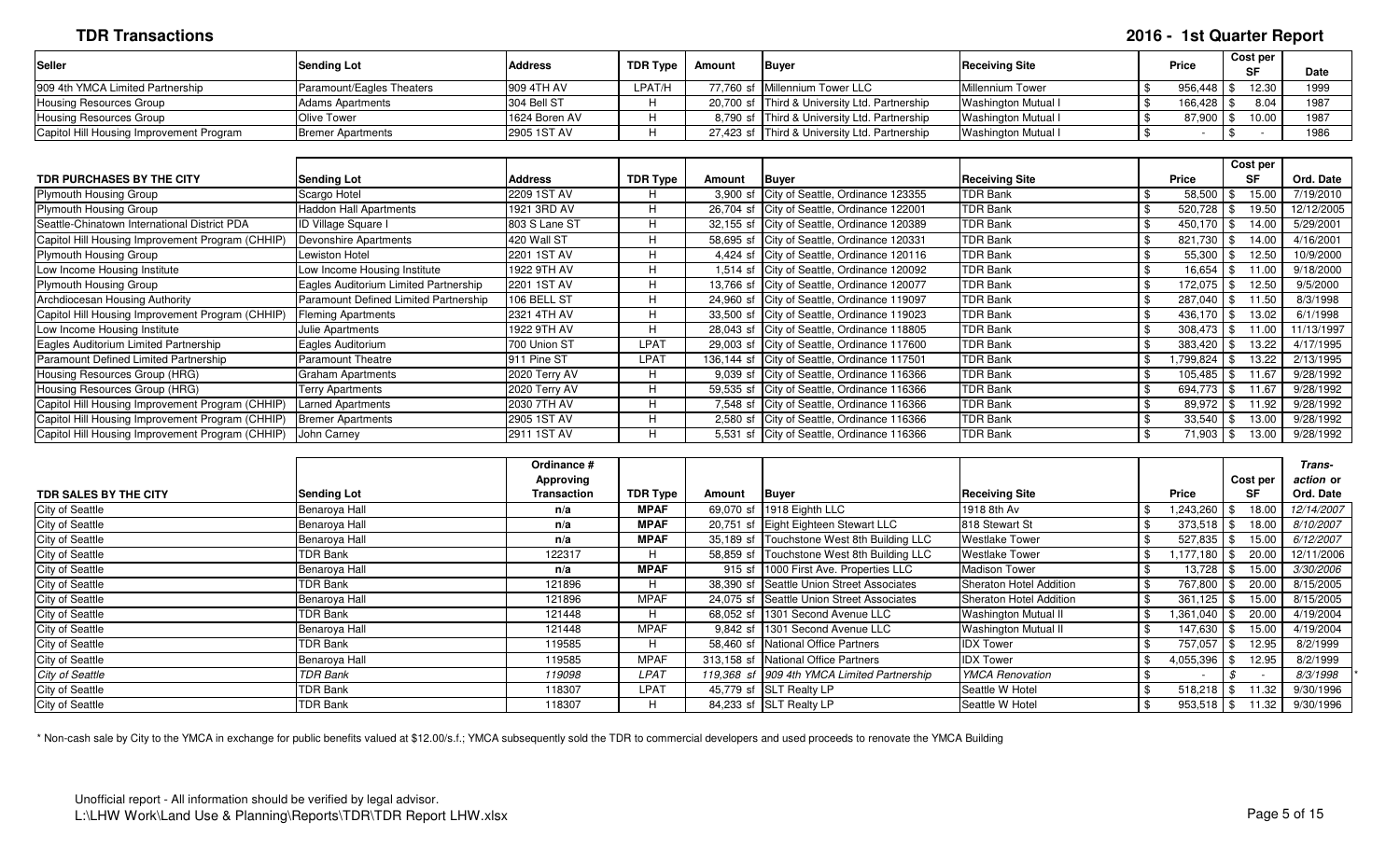# **TDR Transactions 2016 - 1st Quarter Report**

| <b>Seller</b>                            | Sending Lot               | <b>Address</b> | TDR Type | Amount | <b>Buver</b>                                  | <b>Receiving Site</b>      | <b>Price</b> | <b>Cost per</b> | <b>Date</b> |
|------------------------------------------|---------------------------|----------------|----------|--------|-----------------------------------------------|----------------------------|--------------|-----------------|-------------|
| 909 4th YMCA Limited Partnership         | Paramount/Eagles Theaters | 909 4TH AV     | LPAT/H   |        | 77.760 sf Millennium Tower LLC                | Millennium Tower           | 956,448   ֆ  | 12.30           | 1999        |
| <b>Housing Resources Group</b>           | <b>Adams Apartments</b>   | 304 Bell ST    |          |        | 20,700 sf Third & University Ltd. Partnership | <b>Washington Mutual I</b> | ﯩ 166.428 م  | 8.04            | 1987        |
| Housing Resources Group                  | Olive Tower               | 1624 Boren AV  |          |        | 8,790 sf Third & University Ltd. Partnership  | <b>Washington Mutual I</b> | 87,900       | 10.00           | 1987        |
| Capitol Hill Housing Improvement Program | Bremer Apartments         | 2905 1ST AV    |          |        | 27,423 sf Third & University Ltd. Partnership | Washington Mutual I        |              |                 | 1986        |

|                                                  |                                       |                |          |            |                                              |                       |               | Cost per      |            |
|--------------------------------------------------|---------------------------------------|----------------|----------|------------|----------------------------------------------|-----------------------|---------------|---------------|------------|
| TDR PURCHASES BY THE CITY                        | <b>Sending Lot</b>                    | <b>Address</b> | TDR Type | Amount     | Buyer                                        | <b>Receiving Site</b> | Price         | <b>SF</b>     | Ord. Date  |
| <b>Plymouth Housing Group</b>                    | Scargo Hotel                          | 2209 1ST AV    |          | $3,900$ sf | City of Seattle, Ordinance 123355            | <b>TDR Bank</b>       | 58,500        | 15.00         | 7/19/2010  |
| <b>Plymouth Housing Group</b>                    | <b>Haddon Hall Apartments</b>         | 1921 3RD AV    | H        |            | 26,704 sf City of Seattle, Ordinance 122001  | <b>TDR Bank</b>       | 520,728       | 19.50         | 12/12/2005 |
| Seattle-Chinatown International District PDA     | <b>ID Village Square I</b>            | 803 S Lane ST  | H        |            | 32,155 sf City of Seattle, Ordinance 120389  | <b>TDR Bank</b>       | 450,170       | l \$<br>14.00 | 5/29/2001  |
| Capitol Hill Housing Improvement Program (CHHIP  | Devonshire Apartments                 | 420 Wall ST    |          |            | 58,695 sf City of Seattle, Ordinance 120331  | <b>TDR Bank</b>       | 821,730 \$    | 14.00         | 4/16/2001  |
| <b>Plymouth Housing Group</b>                    | <b>Lewiston Hotel</b>                 | 2201 1ST AV    | H        |            | 4,424 sf City of Seattle, Ordinance 120116   | <b>TDR Bank</b>       | $55,300$ \$   | 12.50         | 10/9/2000  |
| Low Income Housing Institute                     | Low Income Housing Institute          | 1922 9TH AV    | H        |            | 1,514 sf City of Seattle, Ordinance 120092   | <b>TDR Bank</b>       | 16,654        | 11.00<br>। ა  | 9/18/2000  |
| <b>Plymouth Housing Group</b>                    | Eagles Auditorium Limited Partnership | 2201 1ST AV    | H        |            | 13,766 sf City of Seattle, Ordinance 120077  | <b>TDR Bank</b>       | 172,075       | 12.50         | 9/5/2000   |
| Archdiocesan Housing Authority                   | Paramount Defined Limited Partnership | 106 BELL ST    |          |            | 24,960 sf City of Seattle, Ordinance 119097  | <b>TDR Bank</b>       | 287,040       | 1.50          | 8/3/1998   |
| Capitol Hill Housing Improvement Program (CHHIP) | <b>Fleming Apartments</b>             | 2321 4TH AV    | H        |            | 33,500 sf City of Seattle, Ordinance 119023  | <b>TDR Bank</b>       | 436,170 \$    | 13.02         | 6/1/1998   |
| Low Income Housing Institute                     | <b>Julie Apartments</b>               | 1922 9TH AV    | H        |            | 28,043 sf City of Seattle, Ordinance 118805  | <b>TDR Bank</b>       | $308,473$ \$  | 11.00         | 11/13/1997 |
| Eagles Auditorium Limited Partnership            | Eagles Auditorium                     | 700 Union ST   | LPAT     |            | 29,003 sf City of Seattle, Ordinance 117600  | <b>TDR Bank</b>       | 383,420       | 13.22         | 4/17/1995  |
| Paramount Defined Limited Partnership            | <b>Paramount Theatre</b>              | 911 Pine ST    | LPAT     |            | 136,144 sf City of Seattle, Ordinance 117501 | <b>TDR Bank</b>       | 1,799,824     | 13.22         | 2/13/1995  |
| Housing Resources Group (HRG)                    | <b>Graham Apartments</b>              | 2020 Terry AV  | H        |            | 9,039 sf City of Seattle, Ordinance 116366   | <b>TDR Bank</b>       | 105,485       | 1.67          | 9/28/1992  |
| Housing Resources Group (HRG)                    | <b>Terry Apartments</b>               | 2020 Terry AV  | H        |            | 59,535 sf City of Seattle, Ordinance 116366  | <b>TDR Bank</b>       | 694,773       | 11.67         | 9/28/1992  |
| Capitol Hill Housing Improvement Program (CHHIP) | <b>Larned Apartments</b>              | 2030 7TH AV    | H        |            | 7,548 sf City of Seattle, Ordinance 116366   | <b>TDR Bank</b>       | 89,972 \$     | 11.92         | 9/28/1992  |
| Capitol Hill Housing Improvement Program (CHHIP) | <b>Bremer Apartments</b>              | 2905 1ST AV    | Н        |            | 2,580 sf City of Seattle, Ordinance 116366   | <b>TDR Bank</b>       | $33,540$ \ \$ | 13.00         | 9/28/1992  |
| Capitol Hill Housing Improvement Program (CHHIP) | John Carney                           | 2911 1ST AV    |          |            | 5,531 sf City of Seattle, Ordinance 116366   | <b>TDR Bank</b>       | 71,903 \$     | 13.00         | 9/28/1992  |

|                        |                    | Ordinance # |                 |        |                                             |                             |              |              | Trans-           |
|------------------------|--------------------|-------------|-----------------|--------|---------------------------------------------|-----------------------------|--------------|--------------|------------------|
|                        |                    | Approving   |                 |        |                                             |                             |              | Cost per     | action or        |
| TDR SALES BY THE CITY  | <b>Sending Lot</b> | Transaction | <b>TDR Type</b> | Amount | <b>Buyer</b>                                | <b>Receiving Site</b>       | <b>Price</b> | SF           | Ord. Date        |
| City of Seattle        | Benaroya Hall      | n/a         | <b>MPAF</b>     |        | 69,070 sf 1918 Eighth LLC                   | 1918 8th Av                 | 243,260,     | 18.00        | 12/14/2007       |
| <b>City of Seattle</b> | Benaroya Hall      | n/a         | <b>MPAF</b>     |        | 20,751 sf Eight Eighteen Stewart LLC        | 818 Stewart St              | 373,518      | 18.00        | 8/10/2007        |
| <b>City of Seattle</b> | Benaroya Hall      | n/a         | <b>MPAF</b>     |        | 35,189 sf Touchstone West 8th Building LLC  | <b>Westlake Tower</b>       | 527,835      | 15.00        | 6/12/2007        |
| <b>City of Seattle</b> | <b>TDR Bank</b>    | 122317      | H.              |        | 58,859 sf Touchstone West 8th Building LLC  | <b>Westlake Tower</b>       | ,177,180     | 20.00        | 12/11/2006       |
| <b>City of Seattle</b> | Benaroya Hall      | n/a         | <b>MPAF</b>     |        | 915 sf 1000 First Ave. Properties LLC       | <b>Madison Tower</b>        | 13,728       | 15.00        | <i>3/30/2006</i> |
| <b>City of Seattle</b> | <b>TDR Bank</b>    | 121896      | H.              |        | 38,390 sf Seattle Union Street Associates   | Sheraton Hotel Addition     | 767,800      | 20.00        | 8/15/2005        |
| <b>City of Seattle</b> | Benaroya Hall      | 121896      | <b>MPAF</b>     |        | 24,075 sf Seattle Union Street Associates   | Sheraton Hotel Addition     | 361,125      | 15.00        | 8/15/2005        |
| <b>City of Seattle</b> | <b>TDR Bank</b>    | 121448      | H.              |        | 68,052 sf 1301 Second Avenue LLC            | <b>Washington Mutual II</b> | .361,040     | 20.00        | 4/19/2004        |
| <b>City of Seattle</b> | Benaroya Hall      | 121448      | <b>MPAF</b>     |        | 9,842 sf 1301 Second Avenue LLC             | <b>Washington Mutual II</b> | 147,630      | 15.00        | 4/19/2004        |
| <b>City of Seattle</b> | <b>TDR Bank</b>    | 119585      | H               |        | 58,460 sf National Office Partners          | <b>IDX Tower</b>            | 757,057      | 12.95<br>\$  | 8/2/1999         |
| <b>City of Seattle</b> | Benaroya Hall      | 119585      | <b>MPAF</b>     |        | 313,158 sf National Office Partners         | <b>IDX Tower</b>            | 4,055,396    | 12.95<br>-\$ | 8/2/1999         |
| City of Seattle        | <b>TDR Bank</b>    | 119098      | <b>LPAT</b>     |        | 119,368 sf 909 4th YMCA Limited Partnership | <b>YMCA Renovation</b>      |              |              | 8/3/1998         |
| <b>City of Seattle</b> | <b>TDR Bank</b>    | 118307      | LPAT            |        | 45,779 sf SLT Realty LP                     | Seattle W Hotel             | $518,218$ \$ | 11.32        | 9/30/1996        |
| <b>City of Seattle</b> | <b>TDR Bank</b>    | 118307      | H               |        | 84,233 sf SLT Realty LP                     | Seattle W Hotel             | $953.518$ \$ | 11.32        | 9/30/1996        |

\* Non-cash sale by City to the YMCA in exchange for public benefits valued at \$12.00/s.f.; YMCA subsequently sold the TDR to commercial developers and used proceeds to renovate the YMCA Building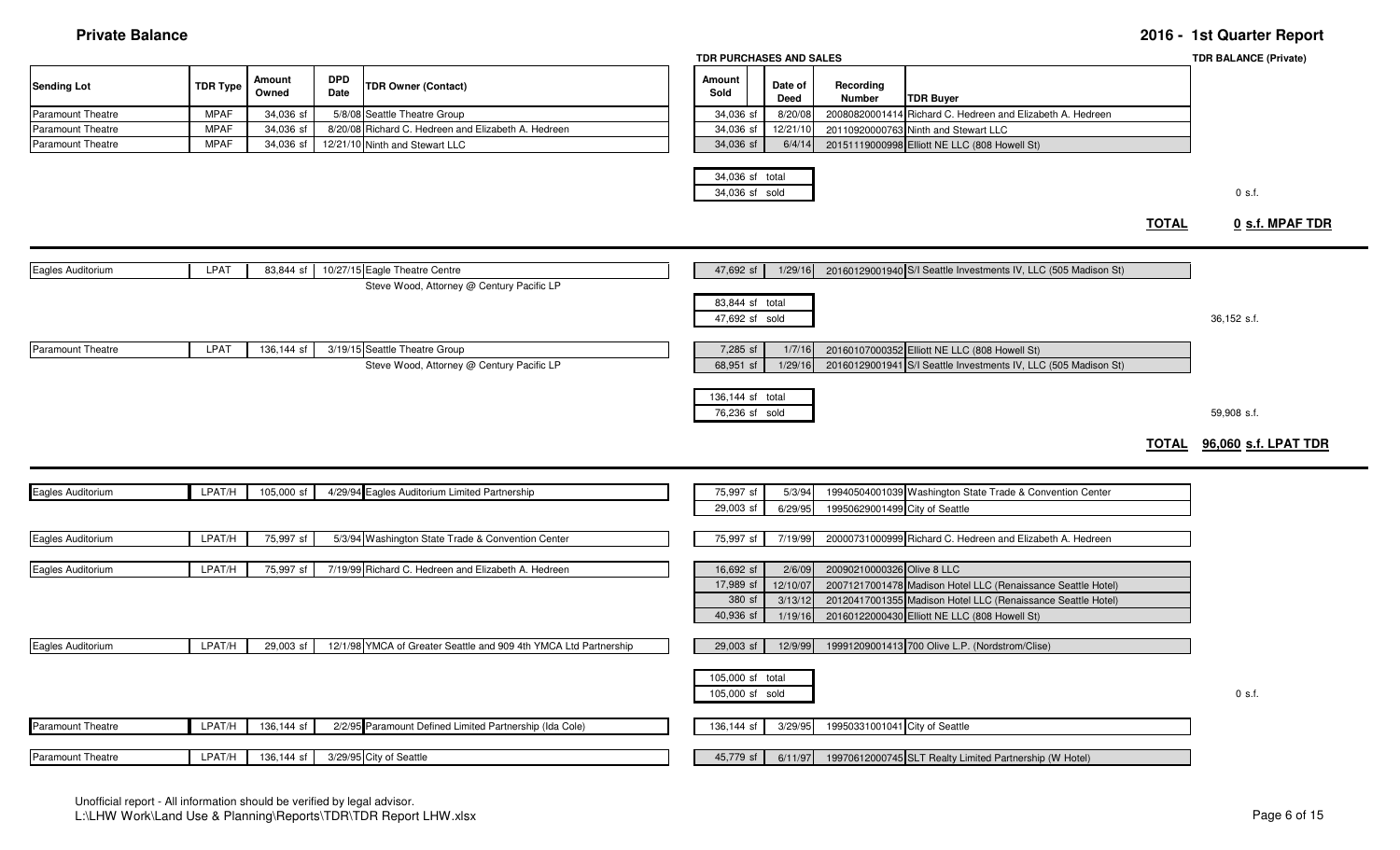| <b>Private Balance</b>   |                 |                        |                    |                                                                            |                                     |                               |                                |                                                                                                                                                                               |              | 2016 - 1st Quarter Report                 |
|--------------------------|-----------------|------------------------|--------------------|----------------------------------------------------------------------------|-------------------------------------|-------------------------------|--------------------------------|-------------------------------------------------------------------------------------------------------------------------------------------------------------------------------|--------------|-------------------------------------------|
|                          |                 |                        |                    |                                                                            | TDR PURCHASES AND SALES             |                               |                                |                                                                                                                                                                               |              | <b>TDR BALANCE (Private)</b>              |
| Sending Lot              | <b>TDR Type</b> | <b>Amount</b><br>Owned | <b>DPD</b><br>Date | <b>TDR Owner (Contact)</b>                                                 | Amount<br>Sold                      | Date of<br><b>Deed</b>        | Recording<br>Number            | <b>TDR Buyer</b>                                                                                                                                                              |              |                                           |
| Paramount Theatre        | <b>MPAF</b>     | 34,036 sf              | 5/8/08             | Seattle Theatre Group                                                      | 34,036 sf                           | 8/20/0                        | 20080820001414                 | Richard C. Hedreen and Elizabeth A. Hedreen                                                                                                                                   |              |                                           |
| Paramount Theatre        | <b>MPAF</b>     | 34,036 st              | 8/20/08            | Richard C. Hedreen and Elizabeth A. Hedreen                                | 34,036 sf                           | 12/21/1                       | 20110920000763                 | Ninth and Stewart LLC                                                                                                                                                         |              |                                           |
| <b>Paramount Theatre</b> | <b>MPAF</b>     | 34,036 st              |                    | 12/21/10 Ninth and Stewart LLC                                             | 34,036 sf                           | 6/4/1                         |                                | 20151119000998 Elliott NE LLC (808 Howell St)                                                                                                                                 |              |                                           |
|                          |                 |                        |                    |                                                                            | 34,036 sf total<br>34,036 sf sold   |                               |                                |                                                                                                                                                                               | <b>TOTAL</b> | $0$ s.f.<br>0 s.f. MPAF TDR               |
|                          |                 |                        |                    |                                                                            |                                     |                               |                                | 20160129001940 S/I Seattle Investments IV, LLC (505 Madison St)                                                                                                               |              |                                           |
| Eagles Auditorium        | LPAT            | 83,844 sf              |                    | 10/27/15 Eagle Theatre Centre<br>Steve Wood, Attorney @ Century Pacific LP | 47,692 sf                           | 1/29/16                       |                                |                                                                                                                                                                               |              |                                           |
|                          |                 |                        |                    |                                                                            | 83,844 sf total<br>47,692 sf sold   |                               |                                |                                                                                                                                                                               |              | 36,152 s.f.                               |
| <b>Paramount Theatre</b> | LPAT            | 136,144 sf             |                    | 3/19/15 Seattle Theatre Group<br>Steve Wood, Attorney @ Century Pacific LP | 7,285 sf<br>68,951 sf               | 1/7/16<br>1/29/16             |                                | 20160107000352 Elliott NE LLC (808 Howell St)<br>20160129001941 S/I Seattle Investments IV, LLC (505 Madison St)                                                              |              |                                           |
|                          |                 |                        |                    |                                                                            | 136,144 sf total<br>76,236 sf sold  |                               |                                |                                                                                                                                                                               |              | 59,908 s.f.<br>TOTAL 96,060 s.f. LPAT TDR |
|                          |                 |                        |                    |                                                                            |                                     |                               |                                |                                                                                                                                                                               |              |                                           |
| Eagles Auditorium        | LPAT/H          | 105,000 sf             |                    | 4/29/94 Eagles Auditorium Limited Partnership                              | 75,997 sf                           | 5/3/94                        |                                | 19940504001039 Washington State Trade & Convention Center                                                                                                                     |              |                                           |
|                          |                 |                        |                    |                                                                            | 29,003 sf                           | 6/29/95                       | 19950629001499 City of Seattle |                                                                                                                                                                               |              |                                           |
| Eagles Auditorium        | LPAT/H          | 75,997 sf              |                    | 5/3/94 Washington State Trade & Convention Center                          | 75,997 sf                           | 7/19/99                       |                                | 20000731000999 Richard C. Hedreen and Elizabeth A. Hedreen                                                                                                                    |              |                                           |
| Eagles Auditorium        | LPAT/H          | 75,997 sf              |                    | 7/19/99 Richard C. Hedreen and Elizabeth A. Hedreen                        | 16,692 sf                           | 2/6/09                        | 20090210000326 Olive 8 LLC     |                                                                                                                                                                               |              |                                           |
|                          |                 |                        |                    |                                                                            | 17,989 sf<br>380 sf<br>40,936 sf    | 12/10/0<br>3/13/12<br>1/19/10 |                                | 20071217001478 Madison Hotel LLC (Renaissance Seattle Hotel)<br>20120417001355 Madison Hotel LLC (Renaissance Seattle Hotel)<br>20160122000430 Elliott NE LLC (808 Howell St) |              |                                           |
|                          |                 |                        |                    |                                                                            |                                     |                               |                                |                                                                                                                                                                               |              |                                           |
| Eagles Auditorium        | LPAT/H          | 29,003 sf              |                    | 12/1/98 YMCA of Greater Seattle and 909 4th YMCA Ltd Partnership           | 29,003 sf                           | 12/9/99                       |                                | 19991209001413 700 Olive L.P. (Nordstrom/Clise)                                                                                                                               |              |                                           |
|                          |                 |                        |                    |                                                                            | 105,000 sf total<br>105,000 sf sold |                               |                                |                                                                                                                                                                               |              | $0$ s.f.                                  |

Paramount Theatre **LPAT/H** 136,144 sf 2/2/95 Paramount Defined Limited Partnership (Ida Cole) 136,144 sf 3/29/95 <sup>19950331001041</sup> City of Seattle Paramount Theatre **LEAT/H** 136,144 sf 3/29/95 City of Seattle 45,779 sf | 6/11/97 | 19970612000745 SLT Realty Limited Partnership (W Hotel)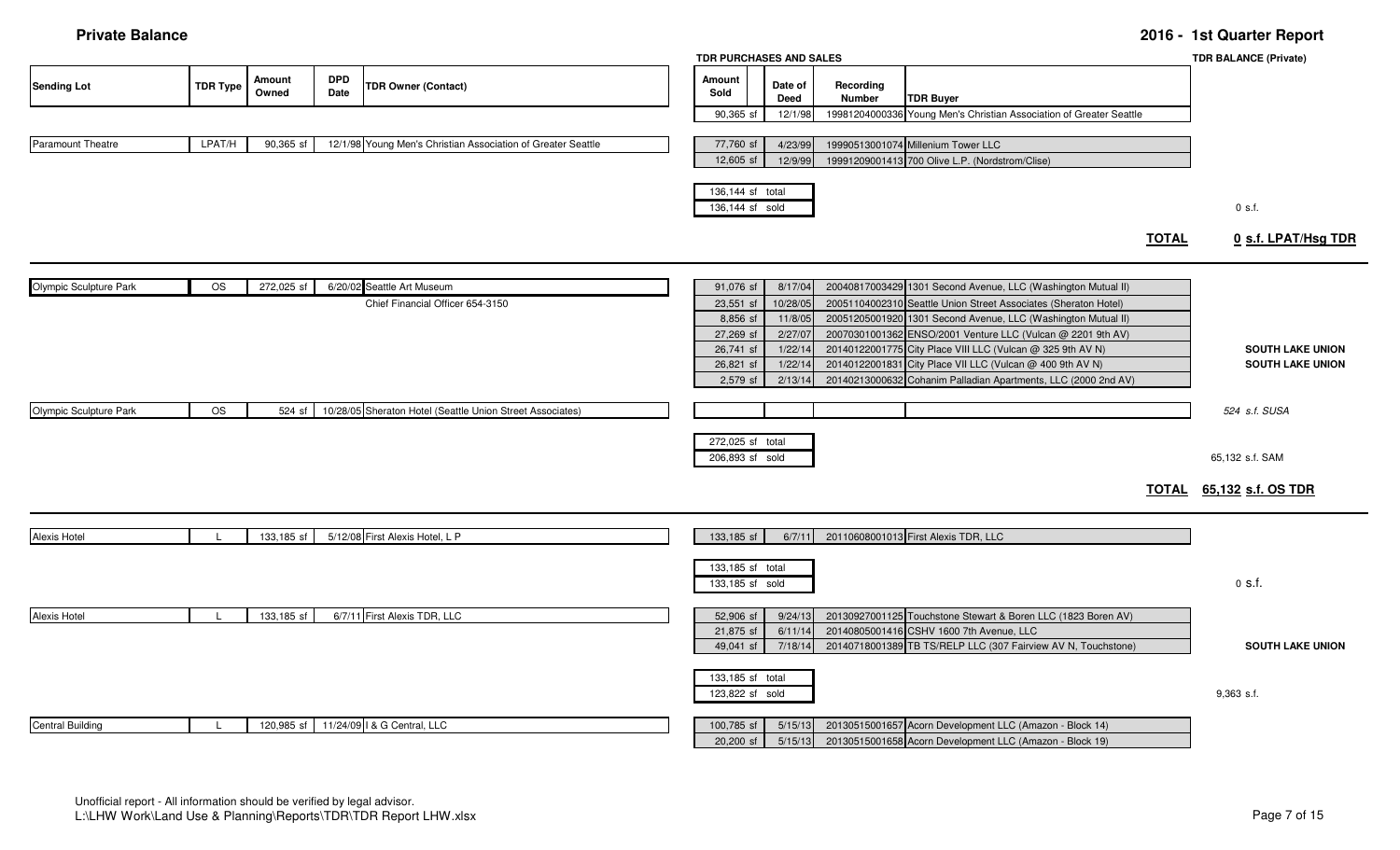### **Private Balance 2016 - 1st Quarter Report**

|                        |                 |                 |                    |                                                              | TDR PURCHASES AND SALES             |                    |                     |                                                                                                           |              | <b>TDR BALANCE (Private)</b>    |
|------------------------|-----------------|-----------------|--------------------|--------------------------------------------------------------|-------------------------------------|--------------------|---------------------|-----------------------------------------------------------------------------------------------------------|--------------|---------------------------------|
| Sending Lot            | <b>TDR Type</b> | Amount<br>Owned | <b>DPD</b><br>Date | <b>TDR Owner (Contact)</b>                                   | Amount<br>Sold                      | Date of<br>Deed    | Recording<br>Number | <b>TDR Buyer</b>                                                                                          |              |                                 |
|                        |                 |                 |                    |                                                              | 90,365 sf                           | 12/1/98            |                     | 19981204000336 Young Men's Christian Association of Greater Seattle                                       |              |                                 |
| Paramount Theatre      | LPAT/H          | 90,365 sf       |                    | 12/1/98 Young Men's Christian Association of Greater Seattle | 77,760 sf                           | 4/23/99            |                     | 19990513001074 Millenium Tower LLC                                                                        |              |                                 |
|                        |                 |                 |                    |                                                              | 12,605 sf                           | 12/9/99            |                     | 19991209001413 700 Olive L.P. (Nordstrom/Clise)                                                           |              |                                 |
|                        |                 |                 |                    |                                                              | 136,144 sf total<br>136,144 sf sold |                    |                     |                                                                                                           |              | $0$ s.f.                        |
|                        |                 |                 |                    |                                                              |                                     |                    |                     |                                                                                                           | <b>TOTAL</b> | 0 s.f. LPAT/Hsg TDR             |
| Olympic Sculpture Park | <b>OS</b>       | 272,025 sf      |                    | 6/20/02 Seattle Art Museum                                   | 91,076 sf                           | 8/17/04            |                     | 20040817003429 1301 Second Avenue, LLC (Washington Mutual II)                                             |              |                                 |
|                        |                 |                 |                    | Chief Financial Officer 654-3150                             | 23,551 sf                           | 10/28/0            |                     | 20051104002310 Seattle Union Street Associates (Sheraton Hotel)                                           |              |                                 |
|                        |                 |                 |                    |                                                              | 8,856 sf                            | 11/8/05            |                     | 20051205001920 1301 Second Avenue, LLC (Washington Mutual II)                                             |              |                                 |
|                        |                 |                 |                    |                                                              | 27,269 sf                           | 2/27/07            |                     | 20070301001362 ENSO/2001 Venture LLC (Vulcan @ 2201 9th AV)                                               |              |                                 |
|                        |                 |                 |                    |                                                              | 26,741 sf                           | 1/22/1             |                     | 20140122001775 City Place VIII LLC (Vulcan @ 325 9th AV N)                                                |              | <b>SOUTH LAKE UNION</b>         |
|                        |                 |                 |                    |                                                              | 26,821 sf                           | 1/22/1             |                     | 20140122001831 City Place VII LLC (Vulcan @ 400 9th AV N)                                                 |              | <b>SOUTH LAKE UNION</b>         |
|                        |                 |                 |                    |                                                              | 2,579 sf                            | 2/13/14            |                     | 20140213000632 Cohanim Palladian Apartments, LLC (2000 2nd AV)                                            |              |                                 |
| Olympic Sculpture Park | <b>OS</b>       | 524 sf          |                    | 10/28/05 Sheraton Hotel (Seattle Union Street Associates)    |                                     |                    |                     |                                                                                                           |              | 524 s.f. SUSA                   |
|                        |                 |                 |                    |                                                              | 272,025 sf total<br>206,893 sf sold |                    |                     |                                                                                                           |              | 65,132 s.f. SAM                 |
|                        |                 |                 |                    |                                                              |                                     |                    |                     |                                                                                                           |              | <b>TOTAL</b> 65,132 s.f. OS TDR |
| Alexis Hotel           |                 | 133,185 sf      |                    | 5/12/08 First Alexis Hotel, L P                              | 133,185 sf                          | 6/7/11             |                     | 20110608001013 First Alexis TDR, LLC                                                                      |              |                                 |
|                        |                 |                 |                    |                                                              |                                     |                    |                     |                                                                                                           |              |                                 |
|                        |                 |                 |                    |                                                              | 133,185 sf total<br>133,185 sf sold |                    |                     |                                                                                                           |              | $0$ s.f.                        |
| Alexis Hotel           |                 | 133,185 sf      |                    | 6/7/11 First Alexis TDR, LLC                                 | 52,906 sf                           | 9/24/13            |                     | 20130927001125 Touchstone Stewart & Boren LLC (1823 Boren AV)                                             |              |                                 |
|                        |                 |                 |                    |                                                              | 21,875 sf<br>49,041 sf              | 6/11/14<br>7/18/14 |                     | 20140805001416 CSHV 1600 7th Avenue, LLC<br>20140718001389 TB TS/RELP LLC (307 Fairview AV N, Touchstone) |              | <b>SOUTH LAKE UNION</b>         |
|                        |                 |                 |                    |                                                              | 133,185 sf total<br>123,822 sf sold |                    |                     |                                                                                                           |              | $9,363$ s.f.                    |
| Central Building       |                 | 120,985 sf      |                    | 11/24/09   & G Central, LLC                                  | 100,785 sf                          | 5/15/13            |                     | 20130515001657 Acorn Development LLC (Amazon - Block 14)                                                  |              |                                 |
|                        |                 |                 |                    |                                                              | $20,200$ sf                         | 5/15/13            |                     | 20130515001658 Acorn Development LLC (Amazon - Block 19)                                                  |              |                                 |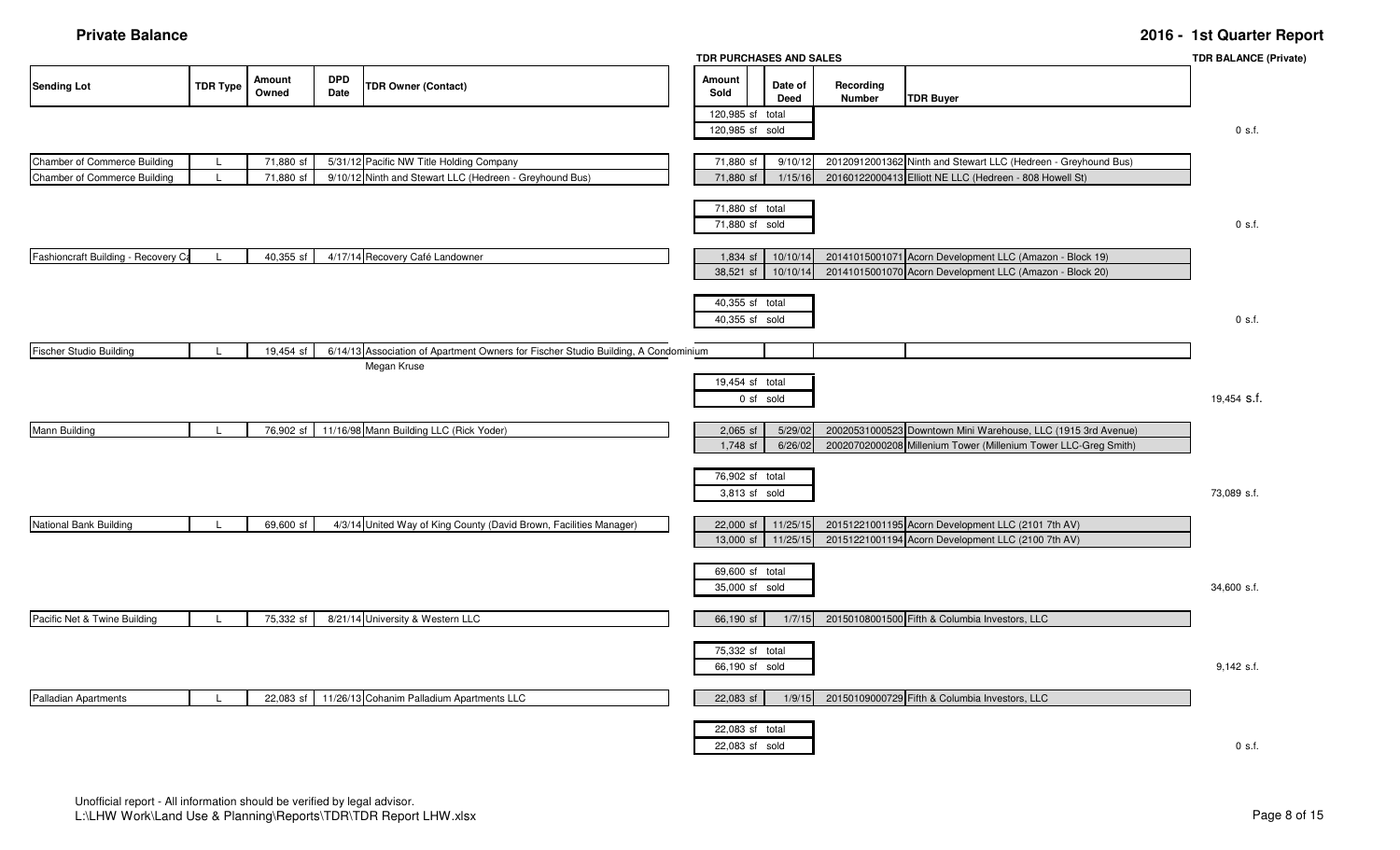### **Private Balance 2016 - 1st Quarter Report**

|                                                              |                 |                        |                    |                                                                                                     |                                     | TDR PURCHASES AND SALES           |                     |                                                                                                                                  | <b>TDR BALANCE (Private)</b> |
|--------------------------------------------------------------|-----------------|------------------------|--------------------|-----------------------------------------------------------------------------------------------------|-------------------------------------|-----------------------------------|---------------------|----------------------------------------------------------------------------------------------------------------------------------|------------------------------|
| <b>Sending Lot</b>                                           | <b>TDR Type</b> | <b>Amount</b><br>Owned | <b>DPD</b><br>Date | <b>TDR Owner (Contact)</b>                                                                          | Amount<br>Sold                      | Date of<br><b>Deed</b>            | Recording<br>Number | <b>TDR Buyer</b>                                                                                                                 |                              |
|                                                              |                 |                        |                    |                                                                                                     | 120,985 sf total<br>120,985 sf sold |                                   |                     |                                                                                                                                  | $0$ s.f.                     |
| Chamber of Commerce Building<br>Chamber of Commerce Building |                 | 71,880 sf<br>71,880 sf |                    | 5/31/12 Pacific NW Title Holding Company<br>9/10/12 Ninth and Stewart LLC (Hedreen - Greyhound Bus) | 71,880 sf<br>71,880 sf              | 9/10/12<br>1/15/16                |                     | 20120912001362 Ninth and Stewart LLC (Hedreen - Greyhound Bus)<br>20160122000413 Elliott NE LLC (Hedreen - 808 Howell St)        |                              |
|                                                              |                 |                        |                    |                                                                                                     |                                     | 71,880 sf total<br>71,880 sf sold |                     |                                                                                                                                  | $0$ s.f.                     |
| Fashioncraft Building - Recovery Ca                          | $\mathsf{L}$    | 40,355 sf              |                    | 4/17/14 Recovery Café Landowner                                                                     | 1,834 sf<br>38,521 sf               | 10/10/14<br>10/10/14              |                     | 20141015001071 Acorn Development LLC (Amazon - Block 19)<br>20141015001070 Acorn Development LLC (Amazon - Block 20)             |                              |
|                                                              |                 |                        |                    |                                                                                                     |                                     | 40,355 sf total<br>40,355 sf sold |                     |                                                                                                                                  | 0 s.f.                       |
| <b>Fischer Studio Building</b>                               | -L              | 19,454 sf              |                    | 6/14/13 Association of Apartment Owners for Fischer Studio Building, A Condominium<br>Megan Kruse   |                                     |                                   |                     |                                                                                                                                  |                              |
|                                                              |                 |                        |                    |                                                                                                     |                                     | 19,454 sf total<br>0 sf sold      |                     |                                                                                                                                  | 19,454 S.f.                  |
| Mann Building                                                | $\blacksquare$  |                        |                    | 76,902 sf 11/16/98 Mann Building LLC (Rick Yoder)                                                   | $2,065$ sf<br>1,748 sf              | 5/29/02<br>6/26/02                |                     | 20020531000523 Downtown Mini Warehouse, LLC (1915 3rd Avenue)<br>20020702000208 Millenium Tower (Millenium Tower LLC-Greg Smith) |                              |
|                                                              |                 |                        |                    |                                                                                                     |                                     | 76,902 sf total<br>3,813 sf sold  |                     |                                                                                                                                  | 73,089 s.f.                  |
| National Bank Building                                       | $\blacksquare$  | 69,600 sf              |                    | 4/3/14 United Way of King County (David Brown, Facilities Manager)                                  | 22,000 sf<br>13,000 sf              | 11/25/15<br>11/25/15              |                     | 20151221001195 Acorn Development LLC (2101 7th AV)<br>20151221001194 Acorn Development LLC (2100 7th AV)                         |                              |
|                                                              |                 |                        |                    |                                                                                                     |                                     | 69,600 sf total<br>35,000 sf sold |                     |                                                                                                                                  | 34,600 s.f.                  |
| Pacific Net & Twine Building                                 | $\mathbf{I}$    | 75,332 sf              |                    | 8/21/14 University & Western LLC                                                                    | 66,190 sf                           | 1/7/15                            |                     | 20150108001500 Fifth & Columbia Investors, LLC                                                                                   |                              |
|                                                              |                 |                        |                    |                                                                                                     | 66,190 sf sold                      | 75,332 sf total                   |                     |                                                                                                                                  | 9,142 s.f.                   |
| Palladian Apartments                                         |                 | 22,083 sf              |                    | 11/26/13 Cohanim Palladium Apartments LLC                                                           | 22,083 sf                           | 1/9/15                            |                     | 20150109000729 Fifth & Columbia Investors, LLC                                                                                   |                              |
|                                                              |                 |                        |                    |                                                                                                     |                                     | 22,083 sf total<br>22,083 sf sold |                     |                                                                                                                                  | 0 s.f.                       |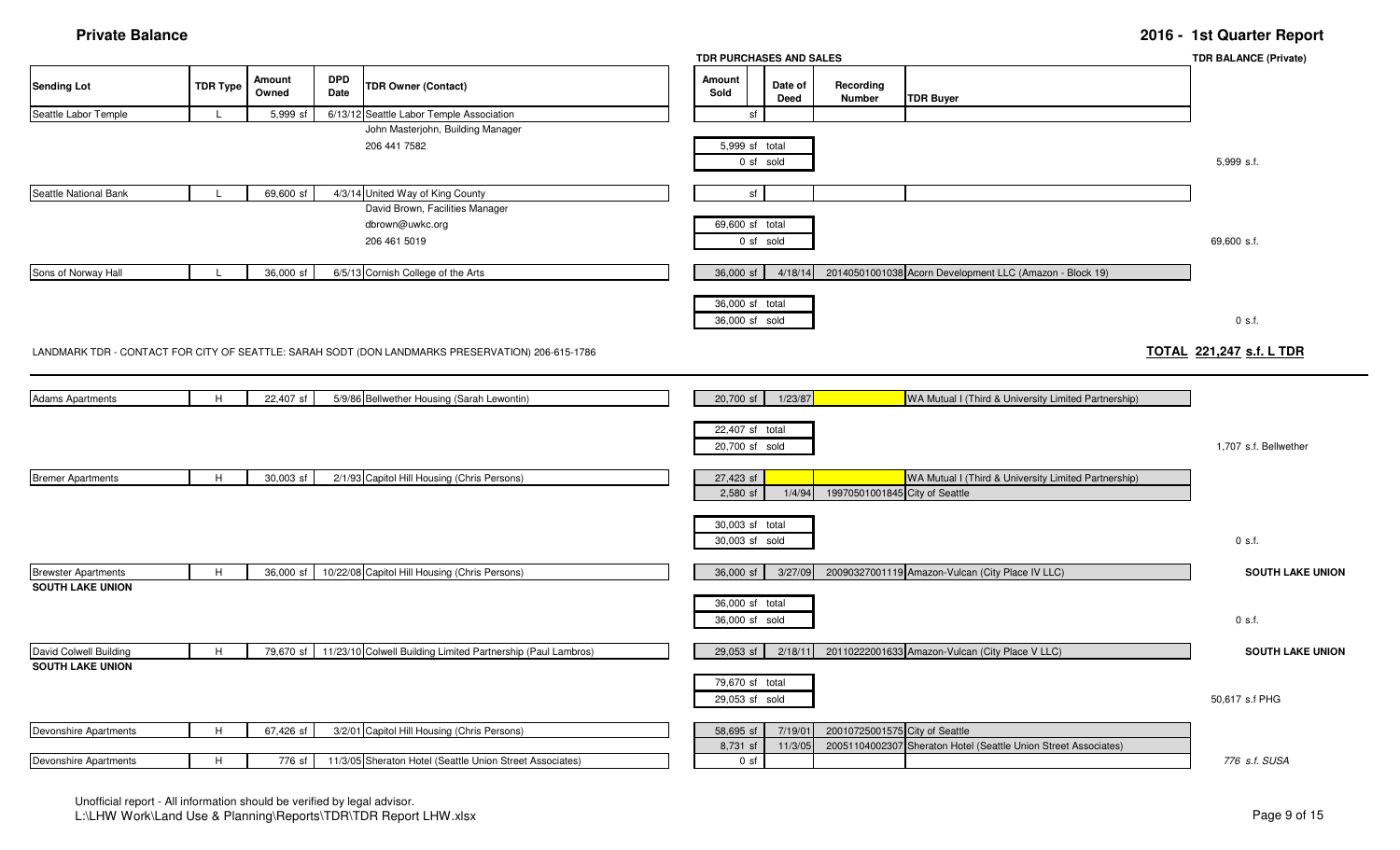|                            |                 |                 |                    |                                                                                                  | TDR PURCHASES AND SALES           |                 |                                |                                                                 | <b>TDR BALANCE (Private)</b>    |
|----------------------------|-----------------|-----------------|--------------------|--------------------------------------------------------------------------------------------------|-----------------------------------|-----------------|--------------------------------|-----------------------------------------------------------------|---------------------------------|
| <b>Sending Lot</b>         | <b>TDR Type</b> | Amount<br>Owned | <b>DPD</b><br>Date | <b>TDR Owner (Contact)</b>                                                                       | Amount<br>Sold                    | Date of<br>Deed | Recording<br>Number            | <b>TDR Buyer</b>                                                |                                 |
| Seattle Labor Temple       | -L              | 5,999 sf        |                    | 6/13/12 Seattle Labor Temple Association                                                         | sf                                |                 |                                |                                                                 |                                 |
|                            |                 |                 |                    | John Masterjohn, Building Manager                                                                |                                   |                 |                                |                                                                 |                                 |
|                            |                 |                 |                    | 206 441 7582                                                                                     | 5,999 sf total                    | 0 sf sold       |                                |                                                                 | 5,999 s.f.                      |
| Seattle National Bank      |                 | 69,600 sf       |                    | 4/3/14 United Way of King County                                                                 | sf                                |                 |                                |                                                                 |                                 |
|                            |                 |                 |                    | David Brown, Facilities Manager                                                                  |                                   |                 |                                |                                                                 |                                 |
|                            |                 |                 |                    | dbrown@uwkc.org                                                                                  | 69,600 sf total                   |                 |                                |                                                                 |                                 |
|                            |                 |                 |                    | 206 461 5019                                                                                     |                                   | 0 sf sold       |                                |                                                                 | 69,600 s.f.                     |
| Sons of Norway Hall        |                 | 36,000 sf       |                    | 6/5/13 Cornish College of the Arts                                                               | 36,000 sf                         | 4/18/14         |                                | 20140501001038 Acorn Development LLC (Amazon - Block 19)        |                                 |
|                            |                 |                 |                    |                                                                                                  | 36,000 sf total<br>36,000 sf sold |                 |                                |                                                                 | $0$ s.f.                        |
|                            |                 |                 |                    | LANDMARK TDR - CONTACT FOR CITY OF SEATTLE: SARAH SODT (DON LANDMARKS PRESERVATION) 206-615-1786 |                                   |                 |                                |                                                                 | <b>TOTAL 221,247 s.f. L TDR</b> |
| <b>Adams Apartments</b>    | H               | 22,407 sf       |                    | 5/9/86 Bellwether Housing (Sarah Lewontin)                                                       | 20,700 sf                         | 1/23/87         |                                | WA Mutual I (Third & University Limited Partnership)            |                                 |
|                            |                 |                 |                    |                                                                                                  | 22,407 sf total<br>20,700 sf sold |                 |                                |                                                                 | 1,707 s.f. Bellwether           |
| <b>Bremer Apartments</b>   | H               | 30,003 sf       |                    | 2/1/93 Capitol Hill Housing (Chris Persons)                                                      | 27,423 sf<br>2,580 sf             | 1/4/94          | 19970501001845 City of Seattle | WA Mutual I (Third & University Limited Partnership)            |                                 |
|                            |                 |                 |                    |                                                                                                  | 30,003 sf total<br>30,003 sf sold |                 |                                |                                                                 | $0$ s.f.                        |
| <b>Brewster Apartments</b> | H               | 36,000 sf       |                    | 10/22/08 Capitol Hill Housing (Chris Persons)                                                    | 36,000 sf                         | 3/27/09         |                                | 20090327001119 Amazon-Vulcan (City Place IV LLC)                | <b>SOUTH LAKE UNION</b>         |
| <b>SOUTH LAKE UNION</b>    |                 |                 |                    |                                                                                                  |                                   |                 |                                |                                                                 |                                 |
|                            |                 |                 |                    |                                                                                                  | 36,000 sf total<br>36,000 sf sold |                 |                                |                                                                 | $0$ s.f.                        |
| David Colwell Building     | H               | 79,670 sf       |                    | 11/23/10 Colwell Building Limited Partnership (Paul Lambros)                                     | 29,053 sf                         | 2/18/11         |                                | 20110222001633 Amazon-Vulcan (City Place V LLC)                 | <b>SOUTH LAKE UNION</b>         |
| <b>SOUTH LAKE UNION</b>    |                 |                 |                    |                                                                                                  |                                   |                 |                                |                                                                 |                                 |
|                            |                 |                 |                    |                                                                                                  | 79,670 sf total<br>29,053 sf sold |                 |                                |                                                                 | 50,617 s.f PHG                  |
| Devonshire Apartments      | H               | 67,426 sf       |                    | 3/2/01 Capitol Hill Housing (Chris Persons)                                                      | 58,695 sf                         | 7/19/01         | 20010725001575 City of Seattle |                                                                 |                                 |
|                            |                 |                 |                    |                                                                                                  | 8,731 sf                          | 11/3/05         |                                | 20051104002307 Sheraton Hotel (Seattle Union Street Associates) |                                 |
| Devonshire Apartments      | H               | 776 sf          |                    | 11/3/05 Sheraton Hotel (Seattle Union Street Associates)                                         | 0 <sub>sf</sub>                   |                 |                                |                                                                 | 776 s.f. SUSA                   |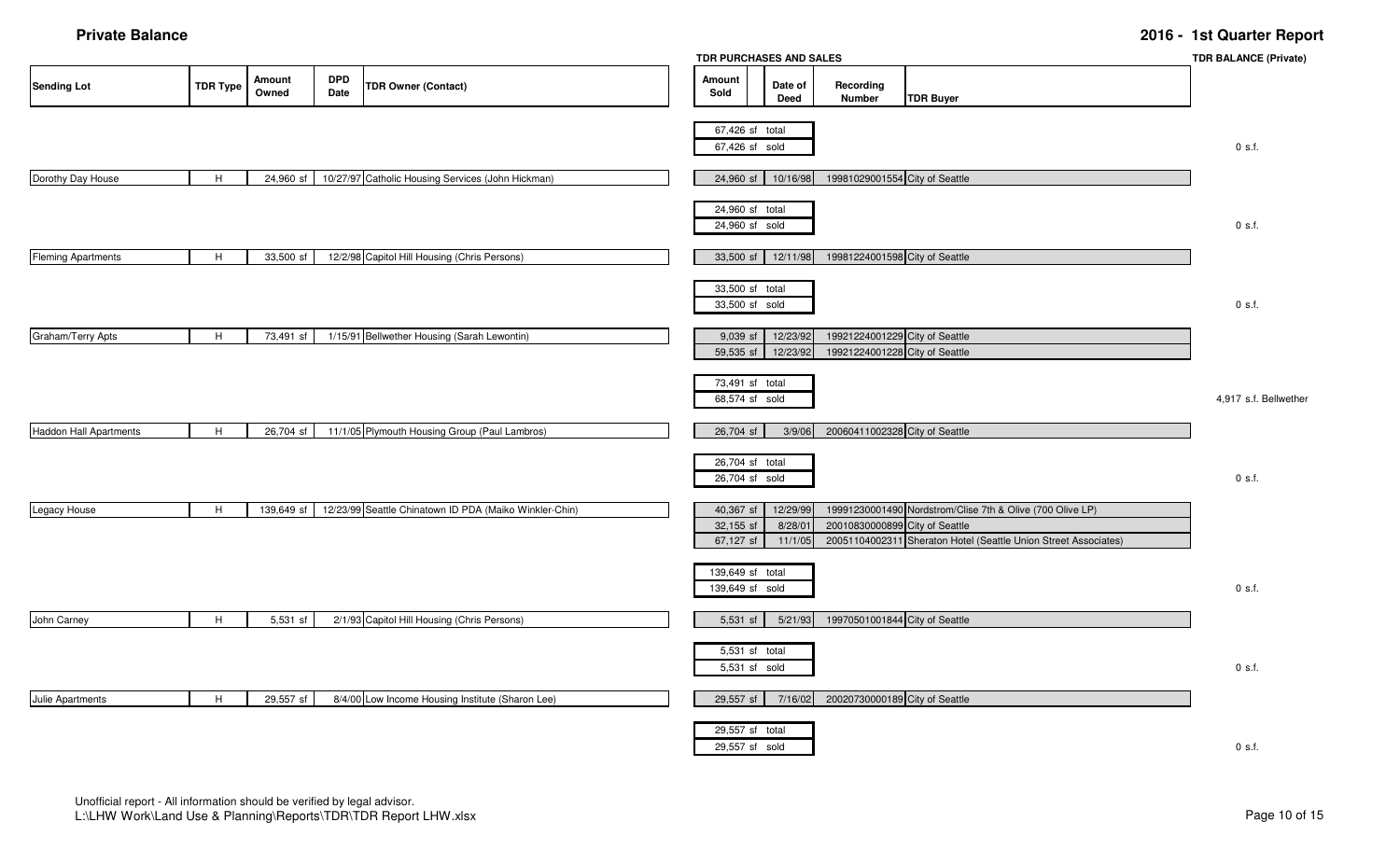|                           |                 |                        |                    |                                                        |                                     | TDR PURCHASES AND SALES         |                                                                  |                                                                                                                                                                | <b>TDR BALANCE (Private)</b> |
|---------------------------|-----------------|------------------------|--------------------|--------------------------------------------------------|-------------------------------------|---------------------------------|------------------------------------------------------------------|----------------------------------------------------------------------------------------------------------------------------------------------------------------|------------------------------|
| <b>Sending Lot</b>        | <b>TDR Type</b> | <b>Amount</b><br>Owned | <b>DPD</b><br>Date | <b>TDR Owner (Contact)</b>                             | Amount<br>Sold                      | Date of<br>Deed                 | Recording<br>Number                                              | <b>TDR Buyer</b>                                                                                                                                               |                              |
|                           |                 |                        |                    |                                                        | 67,426 sf total<br>67,426 sf sold   |                                 |                                                                  |                                                                                                                                                                | $0$ s.f.                     |
| Dorothy Day House         | H               | 24,960 sf              |                    | 10/27/97 Catholic Housing Services (John Hickman)      | 24,960 sf                           | 10/16/98                        | 19981029001554 City of Seattle                                   |                                                                                                                                                                |                              |
|                           |                 |                        |                    |                                                        | 24,960 sf total<br>24,960 sf sold   |                                 |                                                                  |                                                                                                                                                                | $0$ s.f.                     |
| <b>Fleming Apartments</b> | H               | 33,500 sf              |                    | 12/2/98 Capitol Hill Housing (Chris Persons)           | 33,500 sf                           | 12/11/98                        | 19981224001598 City of Seattle                                   |                                                                                                                                                                |                              |
|                           |                 |                        |                    |                                                        | 33,500 sf total<br>33,500 sf sold   |                                 |                                                                  |                                                                                                                                                                | $0$ s.f.                     |
| Graham/Terry Apts         | H               | 73,491 sf              |                    | 1/15/91 Bellwether Housing (Sarah Lewontin)            | 9,039 sf<br>59,535 sf               | 12/23/92<br>12/23/92            | 19921224001229 City of Seattle<br>19921224001228 City of Seattle |                                                                                                                                                                |                              |
|                           |                 |                        |                    |                                                        | 73,491 sf total<br>68,574 sf sold   |                                 |                                                                  |                                                                                                                                                                | 4,917 s.f. Bellwether        |
| Haddon Hall Apartments    | H               | 26,704 sf              |                    | 11/1/05 Plymouth Housing Group (Paul Lambros)          | 26,704 sf                           | 3/9/06                          | 20060411002328 City of Seattle                                   |                                                                                                                                                                |                              |
|                           |                 |                        |                    |                                                        | 26,704 sf total<br>26,704 sf sold   |                                 |                                                                  |                                                                                                                                                                | $0$ s.f.                     |
| Legacy House              | H               | 139,649 sf             |                    | 12/23/99 Seattle Chinatown ID PDA (Maiko Winkler-Chin) | 40,367 sf<br>32,155 sf<br>67,127 sf | 12/29/99<br>8/28/01<br>11/1/05  |                                                                  | 19991230001490 Nordstrom/Clise 7th & Olive (700 Olive LP)<br>20010830000899 City of Seattle<br>20051104002311 Sheraton Hotel (Seattle Union Street Associates) |                              |
|                           |                 |                        |                    |                                                        | 139,649 sf total<br>139,649 sf sold |                                 |                                                                  |                                                                                                                                                                | $0$ s.f.                     |
| John Carney               | H               | 5,531 sf               |                    | 2/1/93 Capitol Hill Housing (Chris Persons)            | 5,531 sf                            | 5/21/93                         | 19970501001844 City of Seattle                                   |                                                                                                                                                                |                              |
|                           |                 |                        |                    |                                                        |                                     | 5,531 sf total<br>5,531 sf sold |                                                                  |                                                                                                                                                                | $0$ s.f.                     |
| Julie Apartments          | H               | 29,557 sf              |                    | 8/4/00 Low Income Housing Institute (Sharon Lee)       | 29,557 sf                           | 7/16/02                         | 20020730000189 City of Seattle                                   |                                                                                                                                                                |                              |
|                           |                 |                        |                    |                                                        | 29,557 sf total<br>29,557 sf sold   |                                 |                                                                  |                                                                                                                                                                | 0 s.f.                       |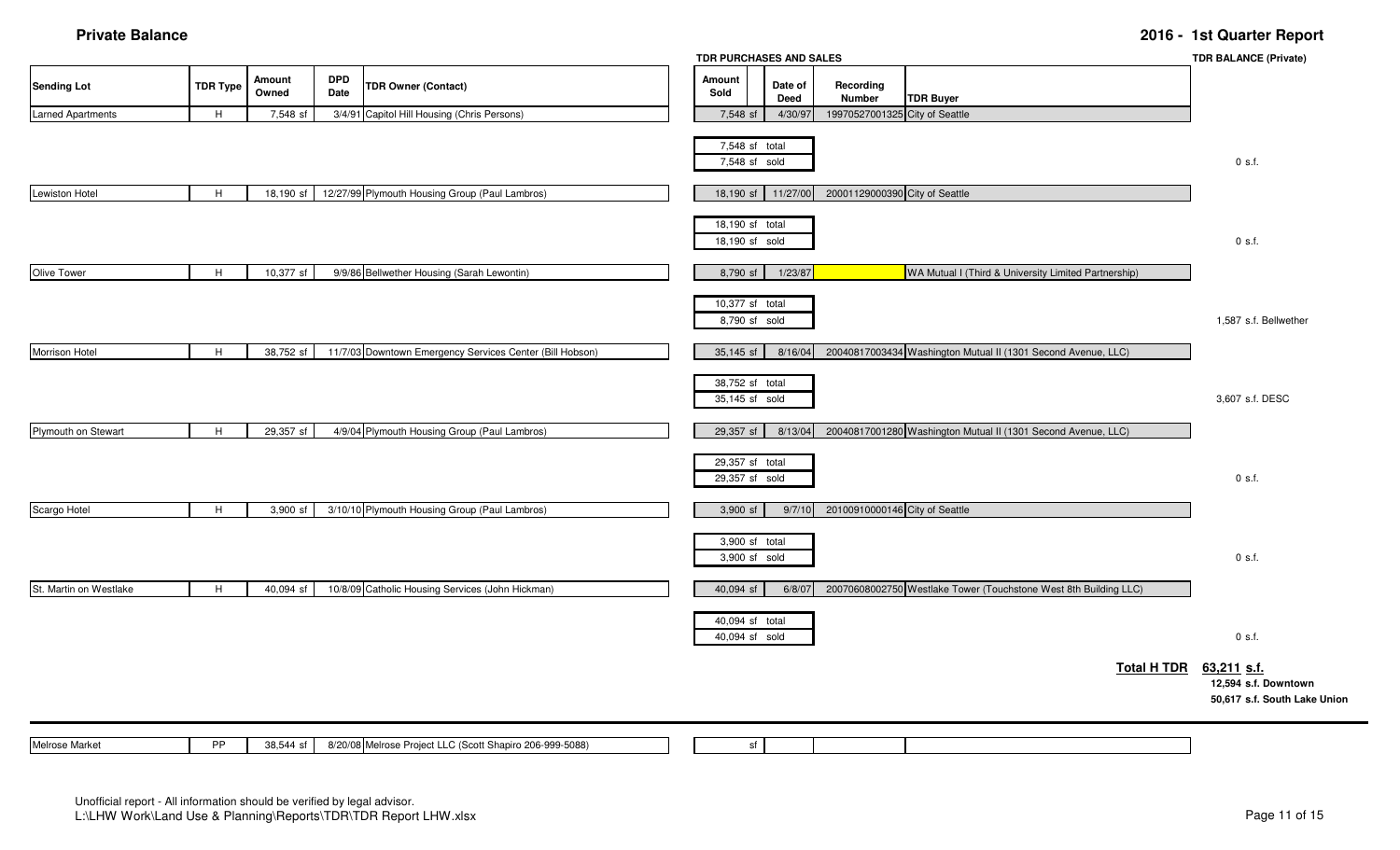|                          |                 |                 |                    |                                                          | TDR PURCHASES AND SALES           |                 |                                |                                                                  |                    | <b>TDR BALANCE (Private)</b>                                        |
|--------------------------|-----------------|-----------------|--------------------|----------------------------------------------------------|-----------------------------------|-----------------|--------------------------------|------------------------------------------------------------------|--------------------|---------------------------------------------------------------------|
| <b>Sending Lot</b>       | <b>TDR Type</b> | Amount<br>Owned | <b>DPD</b><br>Date | <b>TDR Owner (Contact)</b>                               | Amount<br>Sold                    | Date of<br>Deed | Recording<br>Number            | <b>TDR Buyer</b>                                                 |                    |                                                                     |
| <b>Larned Apartments</b> | H               | 7,548 sf        |                    | 3/4/91 Capitol Hill Housing (Chris Persons)              | 7,548 sf                          | 4/30/97         | 19970527001325 City of Seattle |                                                                  |                    |                                                                     |
|                          |                 |                 |                    |                                                          | 7,548 sf total<br>7,548 sf sold   |                 |                                |                                                                  |                    | $0$ s.f.                                                            |
| <b>Lewiston Hotel</b>    | H               | 18,190 sf       |                    | 12/27/99 Plymouth Housing Group (Paul Lambros)           | 18,190 sf                         | 11/27/00        | 20001129000390 City of Seattle |                                                                  |                    |                                                                     |
|                          |                 |                 |                    |                                                          | 18,190 sf total<br>18,190 sf sold |                 |                                |                                                                  |                    | $0$ s.f.                                                            |
| Olive Tower              | H               | 10,377 sf       |                    | 9/9/86 Bellwether Housing (Sarah Lewontin)               | 8,790 sf                          | 1/23/87         |                                | WA Mutual I (Third & University Limited Partnership)             |                    |                                                                     |
|                          |                 |                 |                    |                                                          | 10,377 sf total<br>8,790 sf sold  |                 |                                |                                                                  |                    | 1,587 s.f. Bellwether                                               |
| Morrison Hotel           | H               | 38,752 sf       |                    | 11/7/03 Downtown Emergency Services Center (Bill Hobson) | 35,145 sf                         | 8/16/04         |                                | 20040817003434 Washington Mutual II (1301 Second Avenue, LLC)    |                    |                                                                     |
|                          |                 |                 |                    |                                                          | 38,752 sf total<br>35,145 sf sold |                 |                                |                                                                  |                    | 3,607 s.f. DESC                                                     |
| Plymouth on Stewart      | H               | 29,357 sf       |                    | 4/9/04 Plymouth Housing Group (Paul Lambros)             | 29,357 sf                         | 8/13/04         |                                | 20040817001280 Washington Mutual II (1301 Second Avenue, LLC)    |                    |                                                                     |
|                          |                 |                 |                    |                                                          | 29,357 sf total<br>29,357 sf sold |                 |                                |                                                                  |                    | $0$ s.f.                                                            |
| Scargo Hotel             | H               | 3,900 sf        |                    | 3/10/10 Plymouth Housing Group (Paul Lambros)            | 3,900 sf                          | 9/7/10          | 20100910000146 City of Seattle |                                                                  |                    |                                                                     |
|                          |                 |                 |                    |                                                          | 3,900 sf total<br>3,900 sf sold   |                 |                                |                                                                  |                    | $0$ s.f.                                                            |
| St. Martin on Westlake   | H               | 40,094 sf       |                    | 10/8/09 Catholic Housing Services (John Hickman)         | 40,094 sf                         | 6/8/07          |                                | 20070608002750 Westlake Tower (Touchstone West 8th Building LLC) |                    |                                                                     |
|                          |                 |                 |                    |                                                          | 40,094 sf total<br>40,094 sf sold |                 |                                |                                                                  |                    | $0$ s.f.                                                            |
|                          |                 |                 |                    |                                                          |                                   |                 |                                |                                                                  | <b>Total H TDR</b> | 63,211 s.f.<br>12,594 s.f. Downtown<br>50,617 s.f. South Lake Union |
| Melrose Market           | <b>PP</b>       | 38,544 sf       |                    | 8/20/08 Melrose Project LLC (Scott Shapiro 206-999-5088) | sf                                |                 |                                |                                                                  |                    |                                                                     |

) sf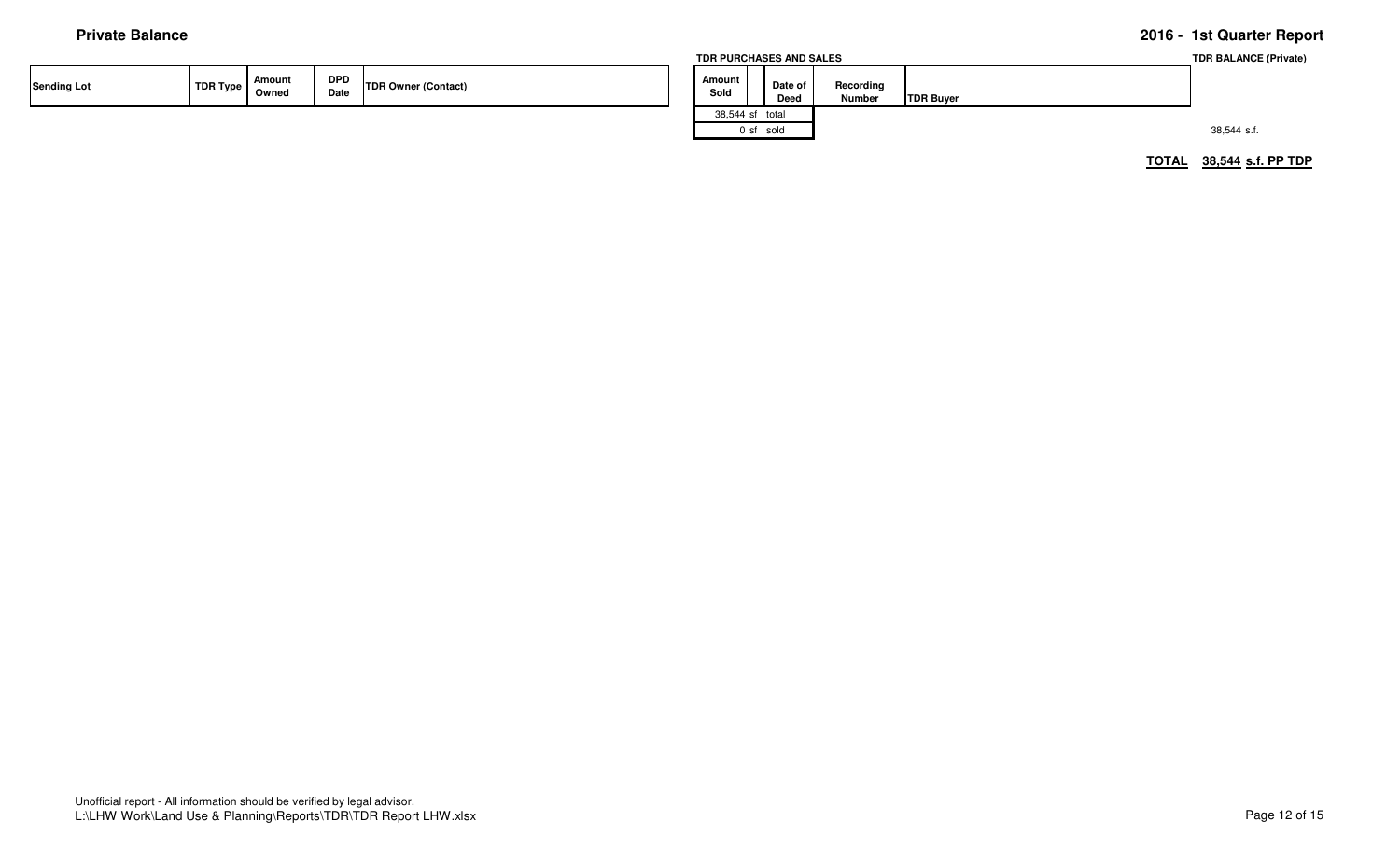|                    |          |                 |             |                            | TDR PURCHASES AND SALES |                 |                            |                  | <b>TDR BALANCE (Private)</b> |
|--------------------|----------|-----------------|-------------|----------------------------|-------------------------|-----------------|----------------------------|------------------|------------------------------|
| <b>Sending Lot</b> | TDR Type | Amount<br>Owned | DPD<br>Date | <b>TDR Owner (Contact)</b> | Amount<br>Sold          | Date of<br>Deed | Recording<br><b>Number</b> | <b>TDR Buyer</b> |                              |
|                    |          |                 |             |                            | 38,544 sf total         |                 |                            |                  |                              |
|                    |          |                 |             |                            |                         | 0 sf sold       |                            |                  | 38,544 s.f.                  |
|                    |          |                 |             |                            |                         |                 |                            |                  |                              |

**TOTAL 38,544 s.f. PP TDP**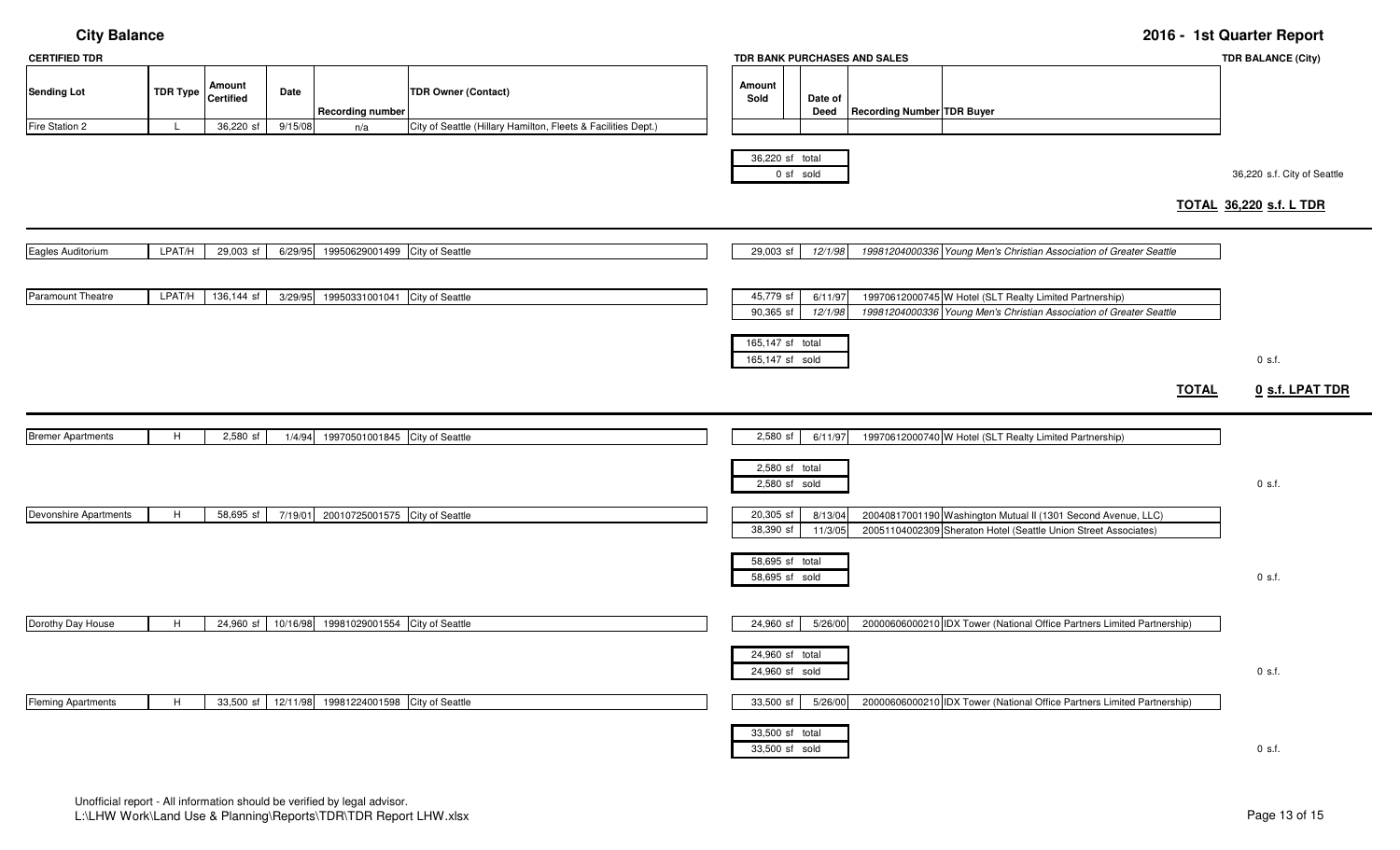| <b>CERTIFIED TDR</b>                 |                       |                                         |                 |                                        |                                                                                             |                                     |                                   | TDR BANK PURCHASES AND SALES      |                                                                                                                                  |              | <b>TDR BALANCE (City)</b>                                     |
|--------------------------------------|-----------------------|-----------------------------------------|-----------------|----------------------------------------|---------------------------------------------------------------------------------------------|-------------------------------------|-----------------------------------|-----------------------------------|----------------------------------------------------------------------------------------------------------------------------------|--------------|---------------------------------------------------------------|
| <b>Sending Lot</b><br>Fire Station 2 | <b>TDR Type</b><br>L. | Amount<br><b>Certified</b><br>36,220 sf | Date<br>9/15/08 | <b>Recording number</b><br>n/a         | <b>TDR Owner (Contact)</b><br>City of Seattle (Hillary Hamilton, Fleets & Facilities Dept.) | Amount<br>Sold                      | Date of<br>Deed                   | <b>Recording Number TDR Buyer</b> |                                                                                                                                  |              |                                                               |
|                                      |                       |                                         |                 |                                        |                                                                                             |                                     | 36,220 sf total<br>0 sf sold      |                                   |                                                                                                                                  |              | 36,220 s.f. City of Seattle<br><b>TOTAL 36,220 s.f. L TDR</b> |
| Eagles Auditorium                    | LPAT/H                | 29,003 sf                               | 6/29/95         | 19950629001499 City of Seattle         |                                                                                             | 29,003 sf                           | 12/1/98                           |                                   | 19981204000336 Young Men's Christian Association of Greater Seattle                                                              |              |                                                               |
| Paramount Theatre                    | LPAT/H                | 136,144 sf                              | 3/29/95         | 19950331001041 City of Seattle         |                                                                                             | 45,779 sf<br>90,365 sf              | 6/11/97<br>12/1/98                |                                   | 19970612000745 W Hotel (SLT Realty Limited Partnership)<br>19981204000336 Young Men's Christian Association of Greater Seattle   |              |                                                               |
|                                      |                       |                                         |                 |                                        |                                                                                             | 165,147 sf total<br>165,147 sf sold |                                   |                                   |                                                                                                                                  |              | 0 s.f.                                                        |
|                                      |                       |                                         |                 |                                        |                                                                                             |                                     |                                   |                                   |                                                                                                                                  | <b>TOTAL</b> | 0 s.f. LPAT TDR                                               |
| <b>Bremer Apartments</b>             | H                     | 2,580 sf                                | 1/4/94          | 19970501001845 City of Seattle         |                                                                                             | 2,580 sf                            | 6/11/97                           |                                   | 19970612000740 W Hotel (SLT Realty Limited Partnership)                                                                          |              |                                                               |
|                                      |                       |                                         |                 |                                        |                                                                                             |                                     | 2,580 sf total<br>2,580 sf sold   |                                   |                                                                                                                                  |              | $0$ s.f.                                                      |
| Devonshire Apartments                | H                     | 58,695 sf                               |                 | 7/19/01 20010725001575 City of Seattle |                                                                                             | 20,305 sf<br>38,390 sf              | 8/13/04<br>11/3/05                |                                   | 20040817001190 Washington Mutual II (1301 Second Avenue, LLC)<br>20051104002309 Sheraton Hotel (Seattle Union Street Associates) |              |                                                               |
|                                      |                       |                                         |                 |                                        |                                                                                             |                                     | 58,695 sf total<br>58,695 sf sold |                                   |                                                                                                                                  |              | $0$ s.f.                                                      |
| Dorothy Day House                    | H                     | 24,960 sf                               | 10/16/98        | 19981029001554 City of Seattle         |                                                                                             | 24,960 sf                           | 5/26/00                           |                                   | 20000606000210 IDX Tower (National Office Partners Limited Partnership)                                                          |              |                                                               |
|                                      |                       |                                         |                 |                                        |                                                                                             |                                     | 24,960 sf total<br>24,960 sf sold |                                   |                                                                                                                                  |              | $0$ s.f.                                                      |
| <b>Fleming Apartments</b>            | H                     | 33,500 sf                               | 12/11/98        | 19981224001598 City of Seattle         |                                                                                             | 33,500 sf                           | 5/26/00                           |                                   | 20000606000210 IDX Tower (National Office Partners Limited Partnership)                                                          |              |                                                               |
|                                      |                       |                                         |                 |                                        |                                                                                             |                                     | 33,500 sf total<br>33,500 sf sold |                                   |                                                                                                                                  |              | $0$ s.f.                                                      |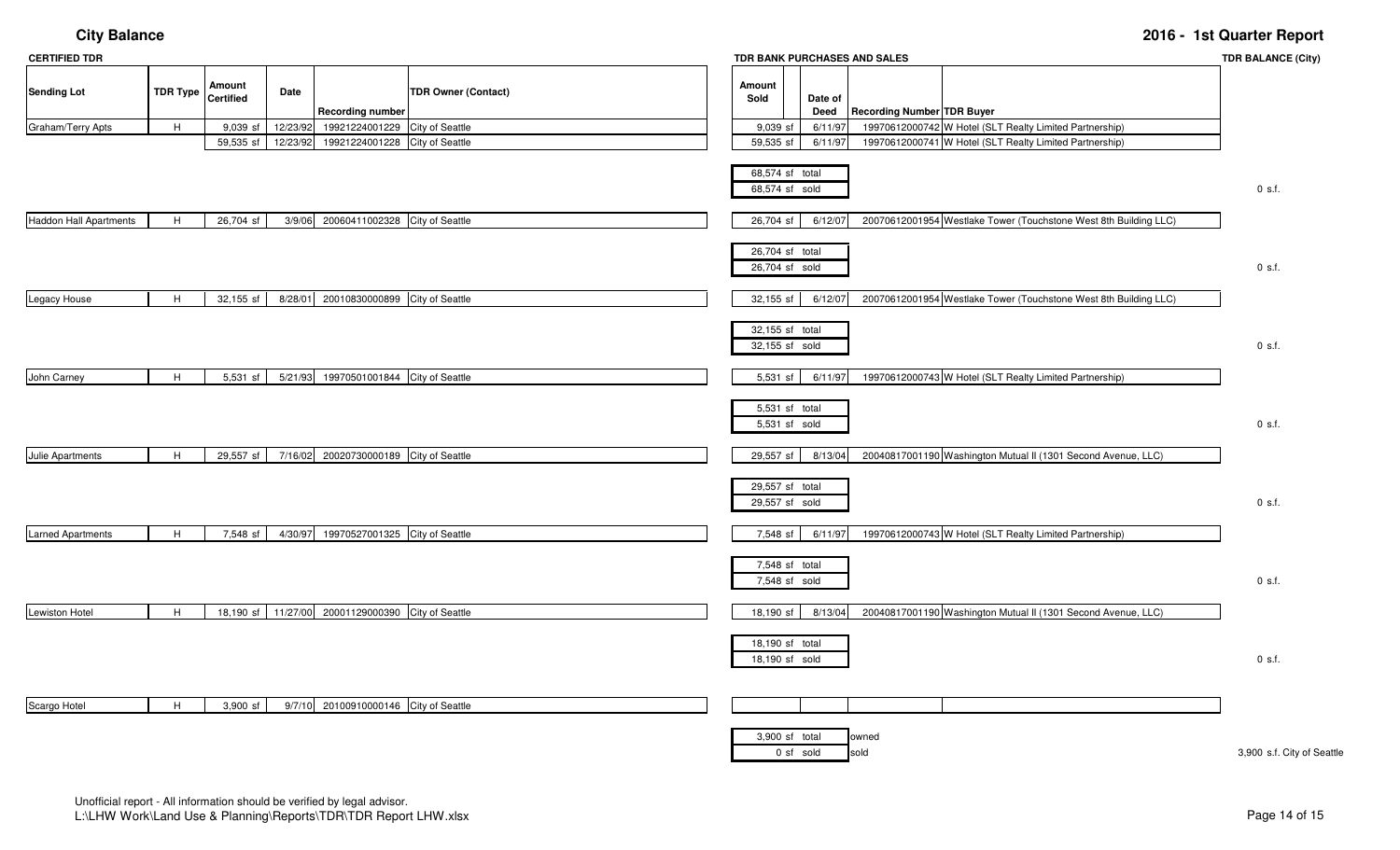| <b>CERTIFIED TDR</b>          |                 |                            |          | TDR BANK PURCHASES AND SALES            |                            |                                   |                 |                                   |  |                                                                  |                            |
|-------------------------------|-----------------|----------------------------|----------|-----------------------------------------|----------------------------|-----------------------------------|-----------------|-----------------------------------|--|------------------------------------------------------------------|----------------------------|
| <b>Sending Lot</b>            | <b>TDR Type</b> | Amount<br><b>Certified</b> | Date     | <b>Recording number</b>                 | <b>TDR Owner (Contact)</b> | Amount<br>Sold                    | Date of<br>Deed | <b>Recording Number TDR Buyer</b> |  |                                                                  |                            |
| Graham/Terry Apts             | $\,$ H          | $9,039$ sf                 | 12/23/92 | 19921224001229                          | City of Seattle            | 9,039 sf                          | 6/11/97         |                                   |  | 19970612000742 W Hotel (SLT Realty Limited Partnership)          |                            |
|                               |                 | 59,535 sf                  | 12/23/92 | 19921224001228 City of Seattle          |                            | 59,535 sf                         | 6/11/97         |                                   |  | 19970612000741 W Hotel (SLT Realty Limited Partnership)          |                            |
|                               |                 |                            |          |                                         |                            | 68,574 sf total<br>68,574 sf sold |                 |                                   |  |                                                                  | $0$ s.f.                   |
| <b>Haddon Hall Apartments</b> | H               | 26,704 sf                  |          | 3/9/06 20060411002328 City of Seattle   |                            | 26,704 sf                         | 6/12/07         |                                   |  | 20070612001954 Westlake Tower (Touchstone West 8th Building LLC) |                            |
|                               |                 |                            |          |                                         |                            | 26,704 sf total<br>26,704 sf sold |                 |                                   |  |                                                                  | $0$ s.f.                   |
| Legacy House                  | H               | 32,155 sf                  |          | 8/28/01 20010830000899 City of Seattle  |                            | 32,155 sf                         | 6/12/07         |                                   |  | 20070612001954 Westlake Tower (Touchstone West 8th Building LLC) |                            |
|                               |                 |                            |          |                                         |                            | 32,155 sf total<br>32,155 sf sold |                 |                                   |  |                                                                  | $0$ s.f.                   |
| John Carney                   | H               | 5,531 sf                   |          | 5/21/93 19970501001844 City of Seattle  |                            | 5,531 sf                          | 6/11/97         |                                   |  | 19970612000743 W Hotel (SLT Realty Limited Partnership)          |                            |
|                               |                 |                            |          |                                         |                            | 5,531 sf total<br>5,531 sf sold   |                 |                                   |  |                                                                  | $0$ s.f.                   |
| Julie Apartments              | H               | 29,557 sf                  |          | 7/16/02 20020730000189 City of Seattle  |                            | 29,557 sf                         | 8/13/04         |                                   |  | 20040817001190 Washington Mutual II (1301 Second Avenue, LLC)    |                            |
|                               |                 |                            |          |                                         |                            | 29,557 sf total<br>29,557 sf sold |                 |                                   |  |                                                                  | 0 s.f.                     |
| <b>Larned Apartments</b>      | H               | 7,548 sf                   | 4/30/97  | 19970527001325 City of Seattle          |                            | 7,548 sf                          | 6/11/97         |                                   |  | 19970612000743 W Hotel (SLT Realty Limited Partnership)          |                            |
|                               |                 |                            |          |                                         |                            | 7,548 sf total<br>7,548 sf sold   |                 |                                   |  |                                                                  | 0 s.f.                     |
| <b>Lewiston Hotel</b>         | H               | 18,190 sf                  |          | 11/27/00 20001129000390 City of Seattle |                            | 18,190 sf                         | 8/13/04         |                                   |  | 20040817001190 Washington Mutual II (1301 Second Avenue, LLC)    |                            |
|                               |                 |                            |          |                                         |                            | 18,190 sf total<br>18,190 sf sold |                 |                                   |  |                                                                  | 0 s.f.                     |
| Scargo Hotel                  | H               | 3,900 sf                   |          | 9/7/10 20100910000146 City of Seattle   |                            |                                   |                 |                                   |  |                                                                  |                            |
|                               |                 |                            |          |                                         |                            | 3,900 sf total                    | 0 sf sold       | owned<br>sold                     |  |                                                                  | 3,900 s.f. City of Seattle |

Page 14 of 15